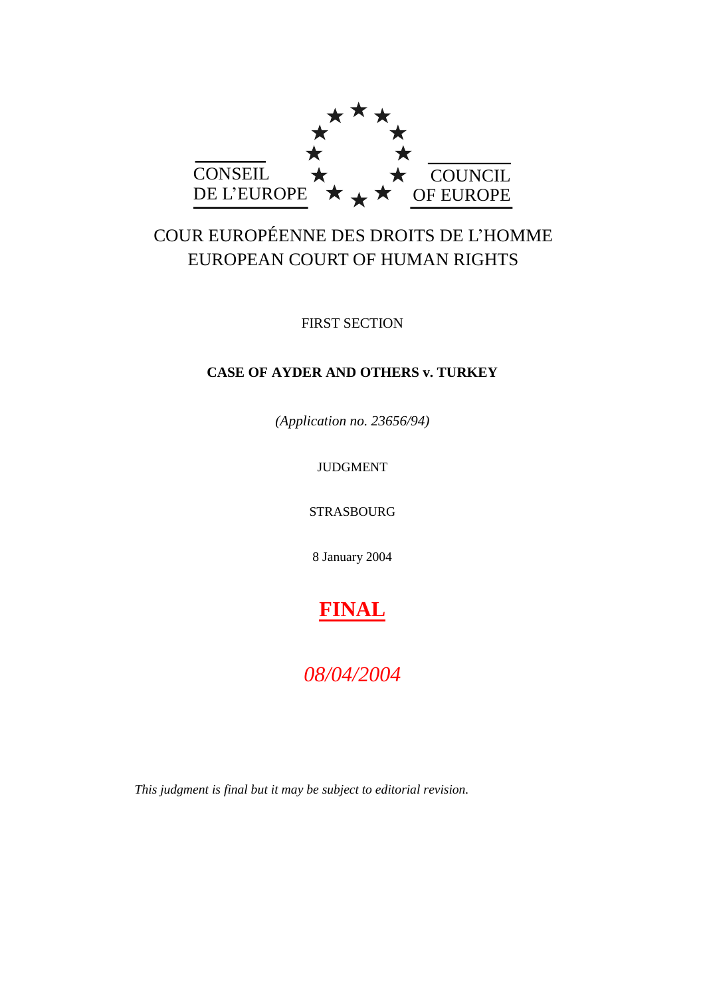

# COUR EUROPÉENNE DES DROITS DE L'HOMME EUROPEAN COURT OF HUMAN RIGHTS

FIRST SECTION

# **CASE OF AYDER AND OTHERS v. TURKEY**

*(Application no. 23656/94)*

JUDGMENT

STRASBOURG

8 January 2004

**FINAL**

*08/04/2004*

*This judgment is final but it may be subject to editorial revision.*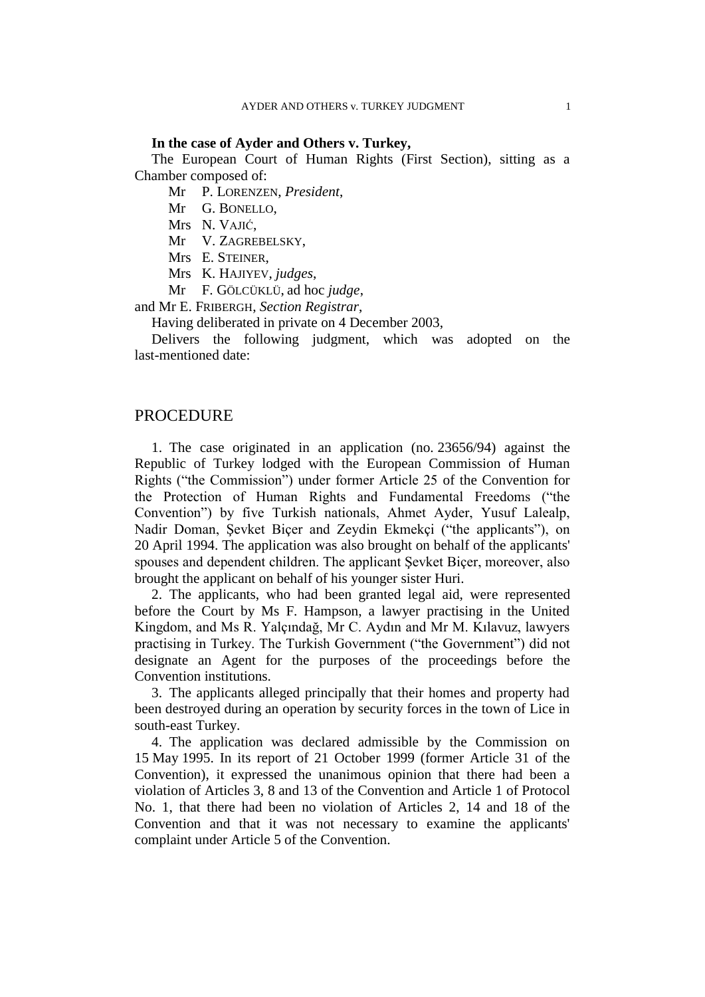#### **In the case of Ayder and Others v. Turkey,**

The European Court of Human Rights (First Section), sitting as a Chamber composed of:

Mr P. LORENZEN, *President*,

Mr G. BONELLO,

Mrs N. VAJIĆ,

Mr V. ZAGREBELSKY,

Mrs E. STEINER,

Mrs K. HAJIYEV, *judges*,

Mr F. GÖLCÜKLÜ, ad hoc *judge*,

and Mr E. FRIBERGH, *Section Registrar*,

Having deliberated in private on 4 December 2003,

Delivers the following judgment, which was adopted on the last-mentioned date:

# **PROCEDURE**

1. The case originated in an application (no. 23656/94) against the Republic of Turkey lodged with the European Commission of Human Rights ("the Commission") under former Article 25 of the Convention for the Protection of Human Rights and Fundamental Freedoms ("the Convention") by five Turkish nationals, Ahmet Ayder, Yusuf Lalealp, Nadir Doman, Şevket Biçer and Zeydin Ekmekçi ("the applicants"), on 20 April 1994. The application was also brought on behalf of the applicants' spouses and dependent children. The applicant Şevket Biçer, moreover, also brought the applicant on behalf of his younger sister Huri.

2. The applicants, who had been granted legal aid, were represented before the Court by Ms F. Hampson, a lawyer practising in the United Kingdom, and Ms R. Yalçındağ, Mr C. Aydın and Mr M. Kılavuz, lawyers practising in Turkey. The Turkish Government ("the Government") did not designate an Agent for the purposes of the proceedings before the Convention institutions.

3. The applicants alleged principally that their homes and property had been destroyed during an operation by security forces in the town of Lice in south-east Turkey.

4. The application was declared admissible by the Commission on 15 May 1995. In its report of 21 October 1999 (former Article 31 of the Convention), it expressed the unanimous opinion that there had been a violation of Articles 3, 8 and 13 of the Convention and Article 1 of Protocol No. 1, that there had been no violation of Articles 2, 14 and 18 of the Convention and that it was not necessary to examine the applicants' complaint under Article 5 of the Convention.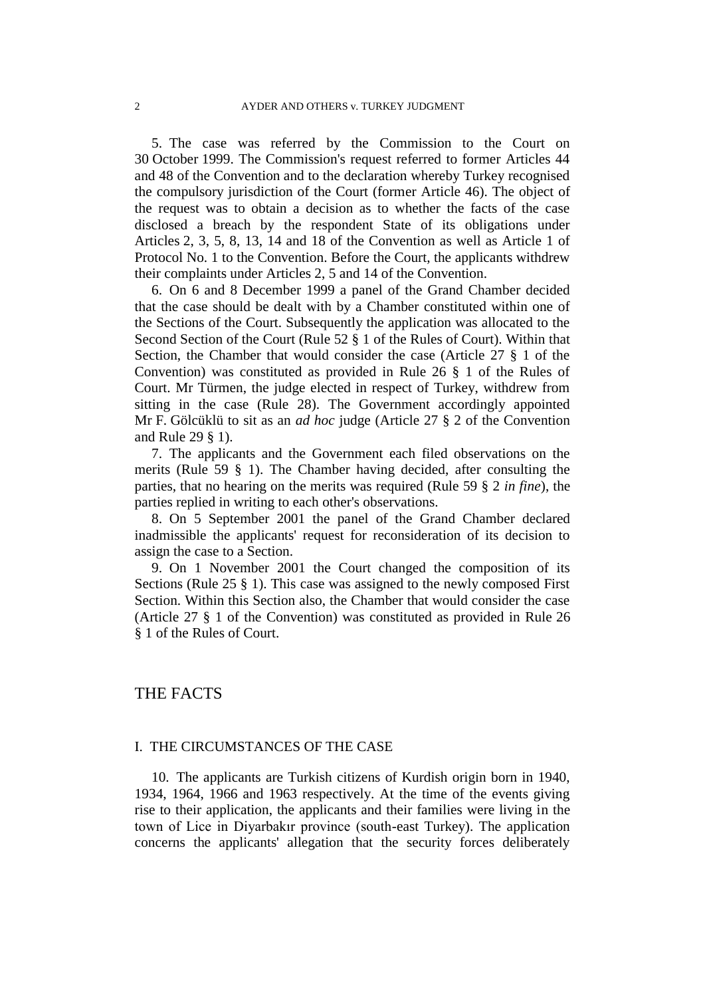5. The case was referred by the Commission to the Court on 30 October 1999. The Commission's request referred to former Articles 44 and 48 of the Convention and to the declaration whereby Turkey recognised the compulsory jurisdiction of the Court (former Article 46). The object of the request was to obtain a decision as to whether the facts of the case disclosed a breach by the respondent State of its obligations under Articles 2, 3, 5, 8, 13, 14 and 18 of the Convention as well as Article 1 of Protocol No. 1 to the Convention. Before the Court, the applicants withdrew their complaints under Articles 2, 5 and 14 of the Convention.

6. On 6 and 8 December 1999 a panel of the Grand Chamber decided that the case should be dealt with by a Chamber constituted within one of the Sections of the Court. Subsequently the application was allocated to the Second Section of the Court (Rule 52 § 1 of the Rules of Court). Within that Section, the Chamber that would consider the case (Article 27 § 1 of the Convention) was constituted as provided in Rule 26 § 1 of the Rules of Court. Mr Türmen, the judge elected in respect of Turkey, withdrew from sitting in the case (Rule 28). The Government accordingly appointed Mr F. Gölcüklü to sit as an *ad hoc* judge (Article 27 § 2 of the Convention and Rule 29 § 1).

7. The applicants and the Government each filed observations on the merits (Rule 59 § 1). The Chamber having decided, after consulting the parties, that no hearing on the merits was required (Rule 59 § 2 *in fine*), the parties replied in writing to each other's observations.

8. On 5 September 2001 the panel of the Grand Chamber declared inadmissible the applicants' request for reconsideration of its decision to assign the case to a Section.

9. On 1 November 2001 the Court changed the composition of its Sections (Rule 25 § 1). This case was assigned to the newly composed First Section. Within this Section also, the Chamber that would consider the case (Article 27 § 1 of the Convention) was constituted as provided in Rule 26 § 1 of the Rules of Court.

# THE FACTS

## I. THE CIRCUMSTANCES OF THE CASE

10. The applicants are Turkish citizens of Kurdish origin born in 1940, 1934, 1964, 1966 and 1963 respectively. At the time of the events giving rise to their application, the applicants and their families were living in the town of Lice in Diyarbakır province (south-east Turkey). The application concerns the applicants' allegation that the security forces deliberately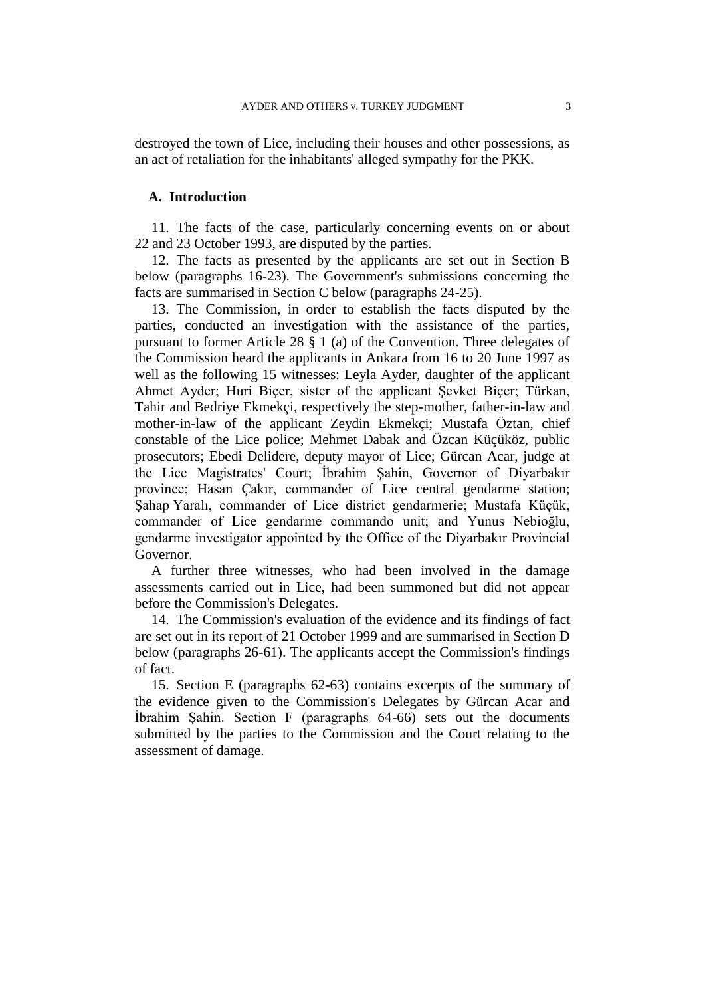destroyed the town of Lice, including their houses and other possessions, as an act of retaliation for the inhabitants' alleged sympathy for the PKK.

#### **A. Introduction**

11. The facts of the case, particularly concerning events on or about 22 and 23 October 1993, are disputed by the parties.

12. The facts as presented by the applicants are set out in Section B below (paragraphs 16-23). The Government's submissions concerning the facts are summarised in Section C below (paragraphs 24-25).

13. The Commission, in order to establish the facts disputed by the parties, conducted an investigation with the assistance of the parties, pursuant to former Article 28 § 1 (a) of the Convention. Three delegates of the Commission heard the applicants in Ankara from 16 to 20 June 1997 as well as the following 15 witnesses: Leyla Ayder, daughter of the applicant Ahmet Ayder; Huri Biçer, sister of the applicant Şevket Biçer; Türkan, Tahir and Bedriye Ekmekçi, respectively the step-mother, father-in-law and mother-in-law of the applicant Zeydin Ekmekçi; Mustafa Öztan, chief constable of the Lice police; Mehmet Dabak and Özcan Küçüköz, public prosecutors; Ebedi Delidere, deputy mayor of Lice; Gürcan Acar, judge at the Lice Magistrates' Court; İbrahim Şahin, Governor of Diyarbakır province; Hasan Çakır, commander of Lice central gendarme station; Şahap Yaralı, commander of Lice district gendarmerie; Mustafa Küçük, commander of Lice gendarme commando unit; and Yunus Nebioğlu, gendarme investigator appointed by the Office of the Diyarbakır Provincial Governor.

A further three witnesses, who had been involved in the damage assessments carried out in Lice, had been summoned but did not appear before the Commission's Delegates.

14. The Commission's evaluation of the evidence and its findings of fact are set out in its report of 21 October 1999 and are summarised in Section D below (paragraphs 26-61). The applicants accept the Commission's findings of fact.

15. Section E (paragraphs 62-63) contains excerpts of the summary of the evidence given to the Commission's Delegates by Gürcan Acar and İbrahim Şahin. Section F (paragraphs 64-66) sets out the documents submitted by the parties to the Commission and the Court relating to the assessment of damage.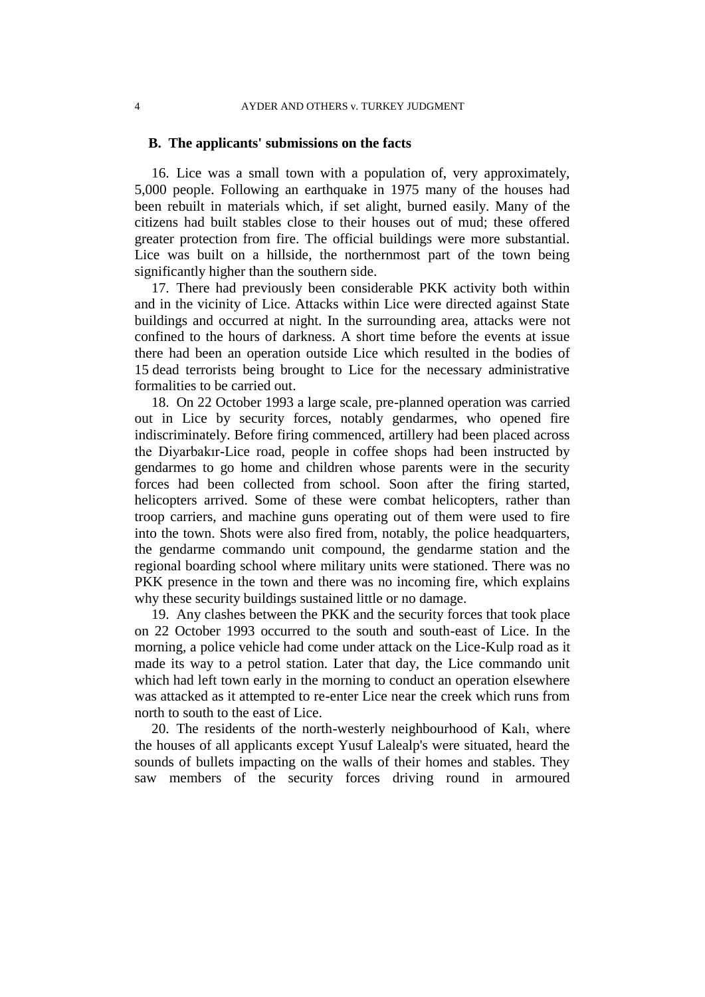#### **B. The applicants' submissions on the facts**

16. Lice was a small town with a population of, very approximately, 5,000 people. Following an earthquake in 1975 many of the houses had been rebuilt in materials which, if set alight, burned easily. Many of the citizens had built stables close to their houses out of mud; these offered greater protection from fire. The official buildings were more substantial. Lice was built on a hillside, the northernmost part of the town being significantly higher than the southern side.

17. There had previously been considerable PKK activity both within and in the vicinity of Lice. Attacks within Lice were directed against State buildings and occurred at night. In the surrounding area, attacks were not confined to the hours of darkness. A short time before the events at issue there had been an operation outside Lice which resulted in the bodies of 15 dead terrorists being brought to Lice for the necessary administrative formalities to be carried out.

18. On 22 October 1993 a large scale, pre-planned operation was carried out in Lice by security forces, notably gendarmes, who opened fire indiscriminately. Before firing commenced, artillery had been placed across the Diyarbakır-Lice road, people in coffee shops had been instructed by gendarmes to go home and children whose parents were in the security forces had been collected from school. Soon after the firing started, helicopters arrived. Some of these were combat helicopters, rather than troop carriers, and machine guns operating out of them were used to fire into the town. Shots were also fired from, notably, the police headquarters, the gendarme commando unit compound, the gendarme station and the regional boarding school where military units were stationed. There was no PKK presence in the town and there was no incoming fire, which explains why these security buildings sustained little or no damage.

19. Any clashes between the PKK and the security forces that took place on 22 October 1993 occurred to the south and south-east of Lice. In the morning, a police vehicle had come under attack on the Lice-Kulp road as it made its way to a petrol station. Later that day, the Lice commando unit which had left town early in the morning to conduct an operation elsewhere was attacked as it attempted to re-enter Lice near the creek which runs from north to south to the east of Lice.

20. The residents of the north-westerly neighbourhood of Kalı, where the houses of all applicants except Yusuf Lalealp's were situated, heard the sounds of bullets impacting on the walls of their homes and stables. They saw members of the security forces driving round in armoured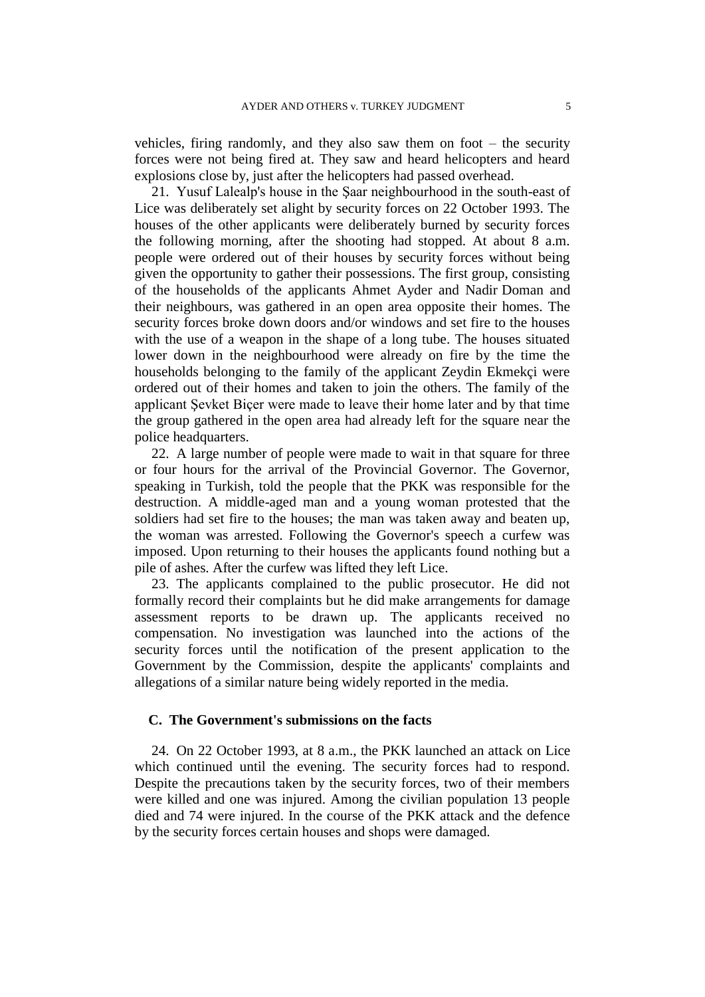vehicles, firing randomly, and they also saw them on foot – the security forces were not being fired at. They saw and heard helicopters and heard explosions close by, just after the helicopters had passed overhead.

21. Yusuf Lalealp's house in the Şaar neighbourhood in the south-east of Lice was deliberately set alight by security forces on 22 October 1993. The houses of the other applicants were deliberately burned by security forces the following morning, after the shooting had stopped. At about 8 a.m. people were ordered out of their houses by security forces without being given the opportunity to gather their possessions. The first group, consisting of the households of the applicants Ahmet Ayder and Nadir Doman and their neighbours, was gathered in an open area opposite their homes. The security forces broke down doors and/or windows and set fire to the houses with the use of a weapon in the shape of a long tube. The houses situated lower down in the neighbourhood were already on fire by the time the households belonging to the family of the applicant Zeydin Ekmekçi were ordered out of their homes and taken to join the others. The family of the applicant Şevket Biçer were made to leave their home later and by that time the group gathered in the open area had already left for the square near the police headquarters.

22. A large number of people were made to wait in that square for three or four hours for the arrival of the Provincial Governor. The Governor, speaking in Turkish, told the people that the PKK was responsible for the destruction. A middle-aged man and a young woman protested that the soldiers had set fire to the houses; the man was taken away and beaten up, the woman was arrested. Following the Governor's speech a curfew was imposed. Upon returning to their houses the applicants found nothing but a pile of ashes. After the curfew was lifted they left Lice.

23. The applicants complained to the public prosecutor. He did not formally record their complaints but he did make arrangements for damage assessment reports to be drawn up. The applicants received no compensation. No investigation was launched into the actions of the security forces until the notification of the present application to the Government by the Commission, despite the applicants' complaints and allegations of a similar nature being widely reported in the media.

# **C. The Government's submissions on the facts**

24. On 22 October 1993, at 8 a.m., the PKK launched an attack on Lice which continued until the evening. The security forces had to respond. Despite the precautions taken by the security forces, two of their members were killed and one was injured. Among the civilian population 13 people died and 74 were injured. In the course of the PKK attack and the defence by the security forces certain houses and shops were damaged.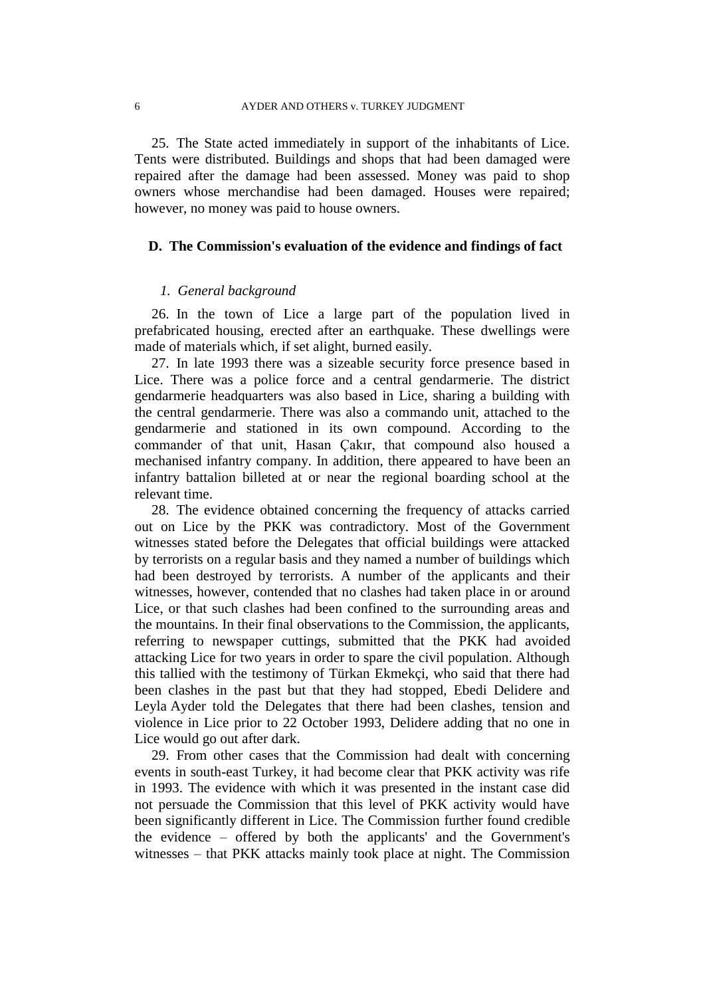25. The State acted immediately in support of the inhabitants of Lice. Tents were distributed. Buildings and shops that had been damaged were repaired after the damage had been assessed. Money was paid to shop owners whose merchandise had been damaged. Houses were repaired; however, no money was paid to house owners.

## **D. The Commission's evaluation of the evidence and findings of fact**

#### *1. General background*

26. In the town of Lice a large part of the population lived in prefabricated housing, erected after an earthquake. These dwellings were made of materials which, if set alight, burned easily.

27. In late 1993 there was a sizeable security force presence based in Lice. There was a police force and a central gendarmerie. The district gendarmerie headquarters was also based in Lice, sharing a building with the central gendarmerie. There was also a commando unit, attached to the gendarmerie and stationed in its own compound. According to the commander of that unit, Hasan Çakır, that compound also housed a mechanised infantry company. In addition, there appeared to have been an infantry battalion billeted at or near the regional boarding school at the relevant time.

28. The evidence obtained concerning the frequency of attacks carried out on Lice by the PKK was contradictory. Most of the Government witnesses stated before the Delegates that official buildings were attacked by terrorists on a regular basis and they named a number of buildings which had been destroyed by terrorists. A number of the applicants and their witnesses, however, contended that no clashes had taken place in or around Lice, or that such clashes had been confined to the surrounding areas and the mountains. In their final observations to the Commission, the applicants, referring to newspaper cuttings, submitted that the PKK had avoided attacking Lice for two years in order to spare the civil population. Although this tallied with the testimony of Türkan Ekmekçi, who said that there had been clashes in the past but that they had stopped, Ebedi Delidere and Leyla Ayder told the Delegates that there had been clashes, tension and violence in Lice prior to 22 October 1993, Delidere adding that no one in Lice would go out after dark.

29. From other cases that the Commission had dealt with concerning events in south-east Turkey, it had become clear that PKK activity was rife in 1993. The evidence with which it was presented in the instant case did not persuade the Commission that this level of PKK activity would have been significantly different in Lice. The Commission further found credible the evidence – offered by both the applicants' and the Government's witnesses – that PKK attacks mainly took place at night. The Commission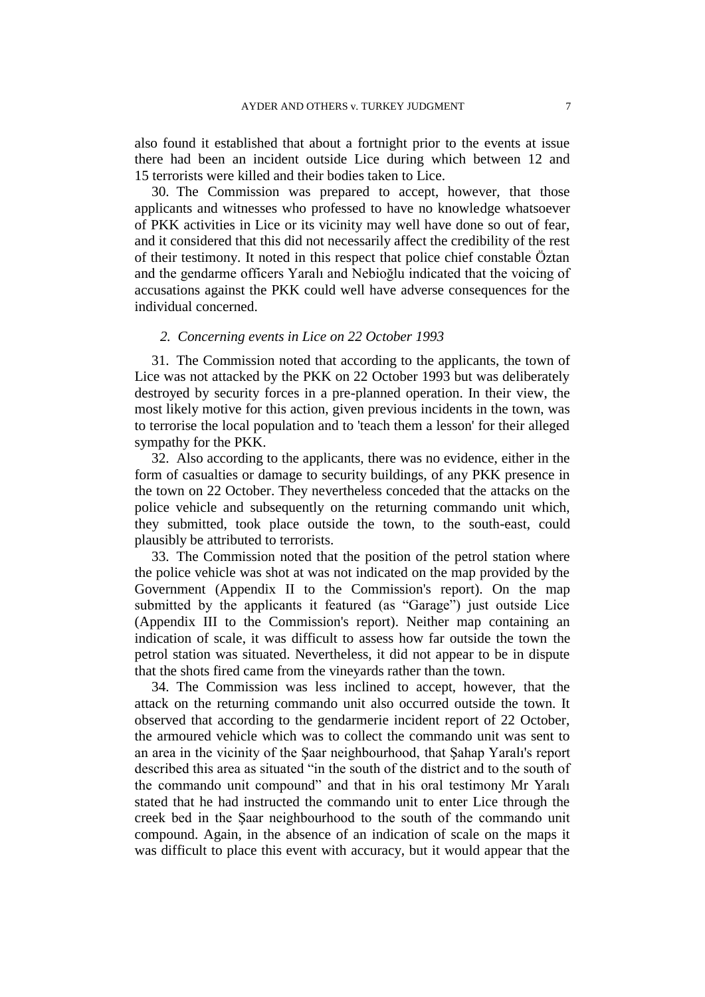also found it established that about a fortnight prior to the events at issue there had been an incident outside Lice during which between 12 and 15 terrorists were killed and their bodies taken to Lice.

30. The Commission was prepared to accept, however, that those applicants and witnesses who professed to have no knowledge whatsoever of PKK activities in Lice or its vicinity may well have done so out of fear, and it considered that this did not necessarily affect the credibility of the rest of their testimony. It noted in this respect that police chief constable Öztan and the gendarme officers Yaralı and Nebioğlu indicated that the voicing of accusations against the PKK could well have adverse consequences for the individual concerned.

#### *2. Concerning events in Lice on 22 October 1993*

31. The Commission noted that according to the applicants, the town of Lice was not attacked by the PKK on 22 October 1993 but was deliberately destroyed by security forces in a pre-planned operation. In their view, the most likely motive for this action, given previous incidents in the town, was to terrorise the local population and to 'teach them a lesson' for their alleged sympathy for the PKK.

32. Also according to the applicants, there was no evidence, either in the form of casualties or damage to security buildings, of any PKK presence in the town on 22 October. They nevertheless conceded that the attacks on the police vehicle and subsequently on the returning commando unit which, they submitted, took place outside the town, to the south-east, could plausibly be attributed to terrorists.

33. The Commission noted that the position of the petrol station where the police vehicle was shot at was not indicated on the map provided by the Government (Appendix II to the Commission's report). On the map submitted by the applicants it featured (as "Garage") just outside Lice (Appendix III to the Commission's report). Neither map containing an indication of scale, it was difficult to assess how far outside the town the petrol station was situated. Nevertheless, it did not appear to be in dispute that the shots fired came from the vineyards rather than the town.

34. The Commission was less inclined to accept, however, that the attack on the returning commando unit also occurred outside the town. It observed that according to the gendarmerie incident report of 22 October, the armoured vehicle which was to collect the commando unit was sent to an area in the vicinity of the Şaar neighbourhood, that Şahap Yaralı's report described this area as situated "in the south of the district and to the south of the commando unit compound" and that in his oral testimony Mr Yaralı stated that he had instructed the commando unit to enter Lice through the creek bed in the Şaar neighbourhood to the south of the commando unit compound. Again, in the absence of an indication of scale on the maps it was difficult to place this event with accuracy, but it would appear that the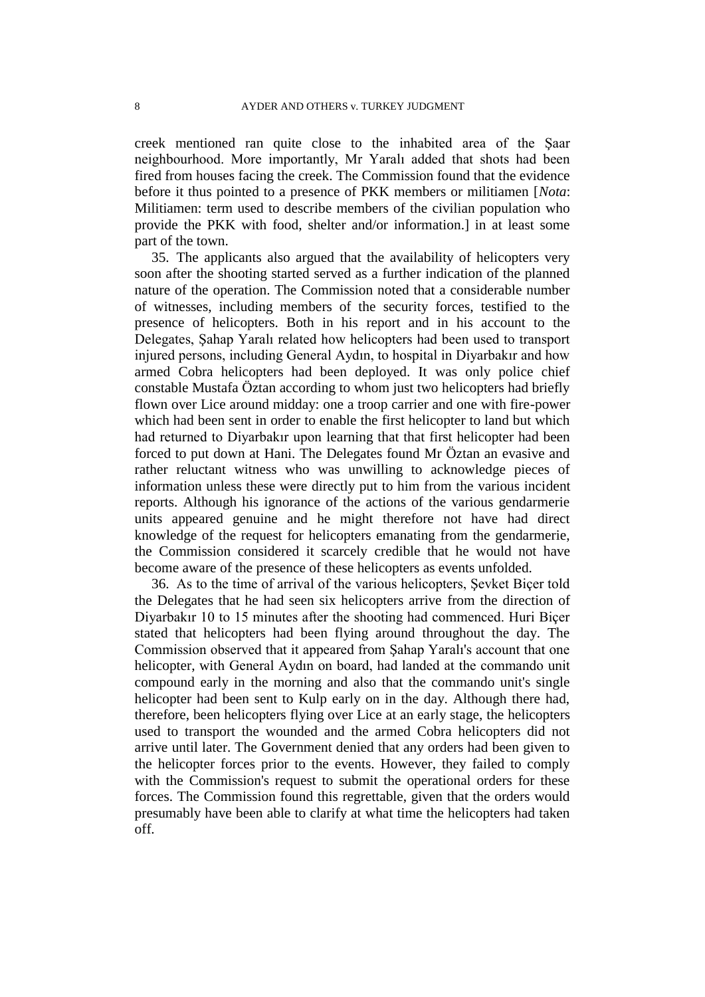creek mentioned ran quite close to the inhabited area of the Şaar neighbourhood. More importantly, Mr Yaralı added that shots had been fired from houses facing the creek. The Commission found that the evidence before it thus pointed to a presence of PKK members or militiamen [*Nota*: Militiamen: term used to describe members of the civilian population who provide the PKK with food, shelter and/or information.] in at least some part of the town.

35. The applicants also argued that the availability of helicopters very soon after the shooting started served as a further indication of the planned nature of the operation. The Commission noted that a considerable number of witnesses, including members of the security forces, testified to the presence of helicopters. Both in his report and in his account to the Delegates, Şahap Yaralı related how helicopters had been used to transport injured persons, including General Aydın, to hospital in Diyarbakır and how armed Cobra helicopters had been deployed. It was only police chief constable Mustafa Öztan according to whom just two helicopters had briefly flown over Lice around midday: one a troop carrier and one with fire-power which had been sent in order to enable the first helicopter to land but which had returned to Diyarbakır upon learning that that first helicopter had been forced to put down at Hani. The Delegates found Mr Öztan an evasive and rather reluctant witness who was unwilling to acknowledge pieces of information unless these were directly put to him from the various incident reports. Although his ignorance of the actions of the various gendarmerie units appeared genuine and he might therefore not have had direct knowledge of the request for helicopters emanating from the gendarmerie, the Commission considered it scarcely credible that he would not have become aware of the presence of these helicopters as events unfolded.

36. As to the time of arrival of the various helicopters, Şevket Biçer told the Delegates that he had seen six helicopters arrive from the direction of Diyarbakır 10 to 15 minutes after the shooting had commenced. Huri Biçer stated that helicopters had been flying around throughout the day. The Commission observed that it appeared from Şahap Yaralı's account that one helicopter, with General Aydın on board, had landed at the commando unit compound early in the morning and also that the commando unit's single helicopter had been sent to Kulp early on in the day. Although there had, therefore, been helicopters flying over Lice at an early stage, the helicopters used to transport the wounded and the armed Cobra helicopters did not arrive until later. The Government denied that any orders had been given to the helicopter forces prior to the events. However, they failed to comply with the Commission's request to submit the operational orders for these forces. The Commission found this regrettable, given that the orders would presumably have been able to clarify at what time the helicopters had taken off.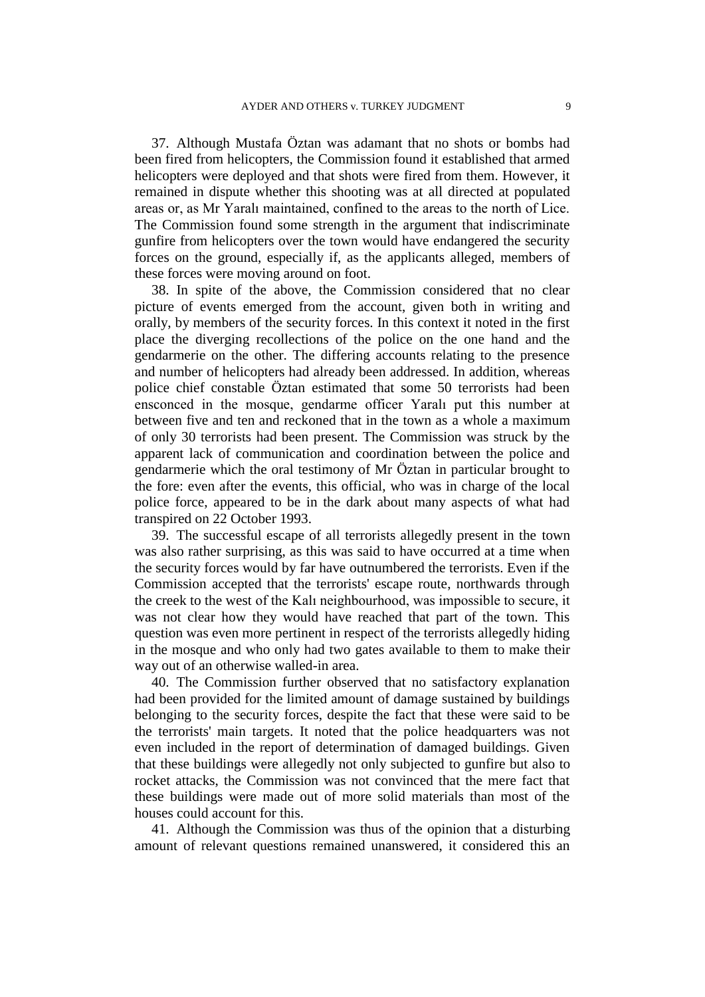37. Although Mustafa Öztan was adamant that no shots or bombs had been fired from helicopters, the Commission found it established that armed helicopters were deployed and that shots were fired from them. However, it remained in dispute whether this shooting was at all directed at populated areas or, as Mr Yaralı maintained, confined to the areas to the north of Lice. The Commission found some strength in the argument that indiscriminate gunfire from helicopters over the town would have endangered the security forces on the ground, especially if, as the applicants alleged, members of these forces were moving around on foot.

38. In spite of the above, the Commission considered that no clear picture of events emerged from the account, given both in writing and orally, by members of the security forces. In this context it noted in the first place the diverging recollections of the police on the one hand and the gendarmerie on the other. The differing accounts relating to the presence and number of helicopters had already been addressed. In addition, whereas police chief constable Öztan estimated that some 50 terrorists had been ensconced in the mosque, gendarme officer Yaralı put this number at between five and ten and reckoned that in the town as a whole a maximum of only 30 terrorists had been present. The Commission was struck by the apparent lack of communication and coordination between the police and gendarmerie which the oral testimony of Mr Öztan in particular brought to the fore: even after the events, this official, who was in charge of the local police force, appeared to be in the dark about many aspects of what had transpired on 22 October 1993.

39. The successful escape of all terrorists allegedly present in the town was also rather surprising, as this was said to have occurred at a time when the security forces would by far have outnumbered the terrorists. Even if the Commission accepted that the terrorists' escape route, northwards through the creek to the west of the Kalı neighbourhood, was impossible to secure, it was not clear how they would have reached that part of the town. This question was even more pertinent in respect of the terrorists allegedly hiding in the mosque and who only had two gates available to them to make their way out of an otherwise walled-in area.

40. The Commission further observed that no satisfactory explanation had been provided for the limited amount of damage sustained by buildings belonging to the security forces, despite the fact that these were said to be the terrorists' main targets. It noted that the police headquarters was not even included in the report of determination of damaged buildings. Given that these buildings were allegedly not only subjected to gunfire but also to rocket attacks, the Commission was not convinced that the mere fact that these buildings were made out of more solid materials than most of the houses could account for this.

41. Although the Commission was thus of the opinion that a disturbing amount of relevant questions remained unanswered, it considered this an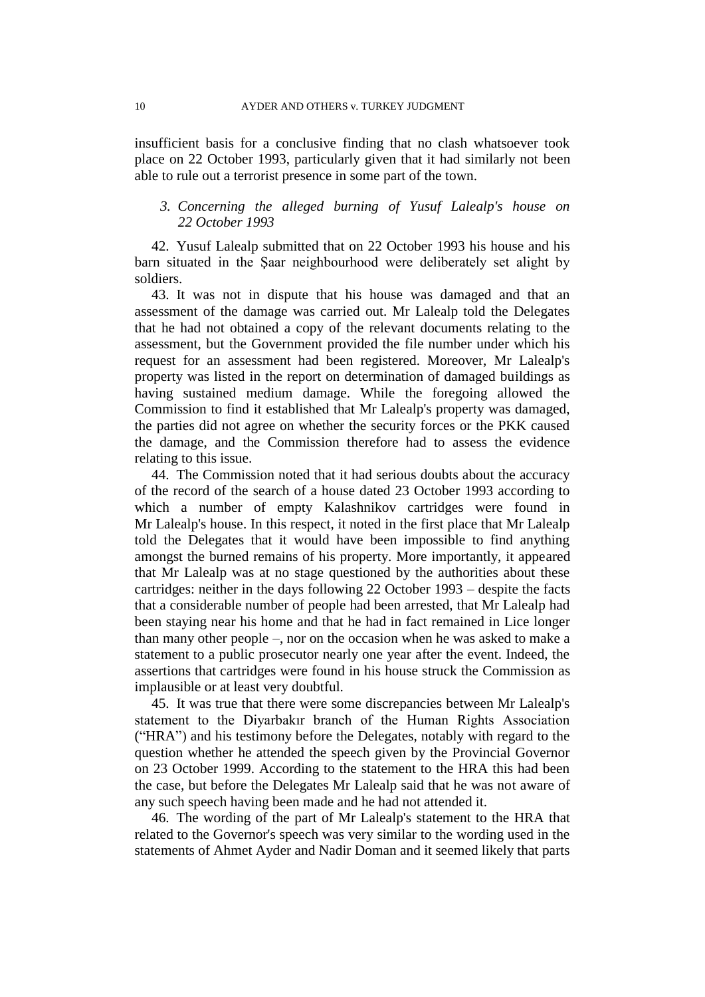insufficient basis for a conclusive finding that no clash whatsoever took place on 22 October 1993, particularly given that it had similarly not been able to rule out a terrorist presence in some part of the town.

# *3. Concerning the alleged burning of Yusuf Lalealp's house on 22 October 1993*

42. Yusuf Lalealp submitted that on 22 October 1993 his house and his barn situated in the Şaar neighbourhood were deliberately set alight by soldiers.

43. It was not in dispute that his house was damaged and that an assessment of the damage was carried out. Mr Lalealp told the Delegates that he had not obtained a copy of the relevant documents relating to the assessment, but the Government provided the file number under which his request for an assessment had been registered. Moreover, Mr Lalealp's property was listed in the report on determination of damaged buildings as having sustained medium damage. While the foregoing allowed the Commission to find it established that Mr Lalealp's property was damaged, the parties did not agree on whether the security forces or the PKK caused the damage, and the Commission therefore had to assess the evidence relating to this issue.

44. The Commission noted that it had serious doubts about the accuracy of the record of the search of a house dated 23 October 1993 according to which a number of empty Kalashnikov cartridges were found in Mr Lalealp's house. In this respect, it noted in the first place that Mr Lalealp told the Delegates that it would have been impossible to find anything amongst the burned remains of his property. More importantly, it appeared that Mr Lalealp was at no stage questioned by the authorities about these cartridges: neither in the days following 22 October 1993 – despite the facts that a considerable number of people had been arrested, that Mr Lalealp had been staying near his home and that he had in fact remained in Lice longer than many other people –, nor on the occasion when he was asked to make a statement to a public prosecutor nearly one year after the event. Indeed, the assertions that cartridges were found in his house struck the Commission as implausible or at least very doubtful.

45. It was true that there were some discrepancies between Mr Lalealp's statement to the Diyarbakır branch of the Human Rights Association ("HRA") and his testimony before the Delegates, notably with regard to the question whether he attended the speech given by the Provincial Governor on 23 October 1999. According to the statement to the HRA this had been the case, but before the Delegates Mr Lalealp said that he was not aware of any such speech having been made and he had not attended it.

46. The wording of the part of Mr Lalealp's statement to the HRA that related to the Governor's speech was very similar to the wording used in the statements of Ahmet Ayder and Nadir Doman and it seemed likely that parts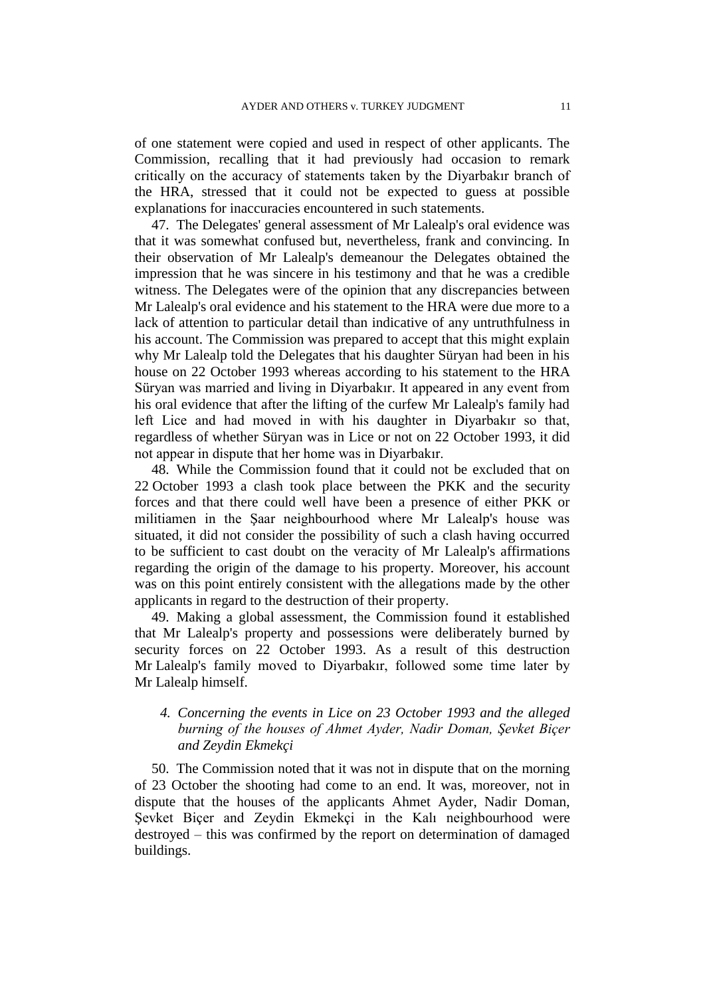of one statement were copied and used in respect of other applicants. The Commission, recalling that it had previously had occasion to remark critically on the accuracy of statements taken by the Diyarbakır branch of the HRA, stressed that it could not be expected to guess at possible explanations for inaccuracies encountered in such statements.

47. The Delegates' general assessment of Mr Lalealp's oral evidence was that it was somewhat confused but, nevertheless, frank and convincing. In their observation of Mr Lalealp's demeanour the Delegates obtained the impression that he was sincere in his testimony and that he was a credible witness. The Delegates were of the opinion that any discrepancies between Mr Lalealp's oral evidence and his statement to the HRA were due more to a lack of attention to particular detail than indicative of any untruthfulness in his account. The Commission was prepared to accept that this might explain why Mr Lalealp told the Delegates that his daughter Süryan had been in his house on 22 October 1993 whereas according to his statement to the HRA Süryan was married and living in Diyarbakır. It appeared in any event from his oral evidence that after the lifting of the curfew Mr Lalealp's family had left Lice and had moved in with his daughter in Diyarbakır so that, regardless of whether Süryan was in Lice or not on 22 October 1993, it did not appear in dispute that her home was in Diyarbakır.

48. While the Commission found that it could not be excluded that on 22 October 1993 a clash took place between the PKK and the security forces and that there could well have been a presence of either PKK or militiamen in the Şaar neighbourhood where Mr Lalealp's house was situated, it did not consider the possibility of such a clash having occurred to be sufficient to cast doubt on the veracity of Mr Lalealp's affirmations regarding the origin of the damage to his property. Moreover, his account was on this point entirely consistent with the allegations made by the other applicants in regard to the destruction of their property.

49. Making a global assessment, the Commission found it established that Mr Lalealp's property and possessions were deliberately burned by security forces on 22 October 1993. As a result of this destruction Mr Lalealp's family moved to Diyarbakır, followed some time later by Mr Lalealp himself.

# *4. Concerning the events in Lice on 23 October 1993 and the alleged burning of the houses of Ahmet Ayder, Nadir Doman, Şevket Biçer and Zeydin Ekmekçi*

50. The Commission noted that it was not in dispute that on the morning of 23 October the shooting had come to an end. It was, moreover, not in dispute that the houses of the applicants Ahmet Ayder, Nadir Doman, Şevket Biçer and Zeydin Ekmekçi in the Kalı neighbourhood were destroyed – this was confirmed by the report on determination of damaged buildings.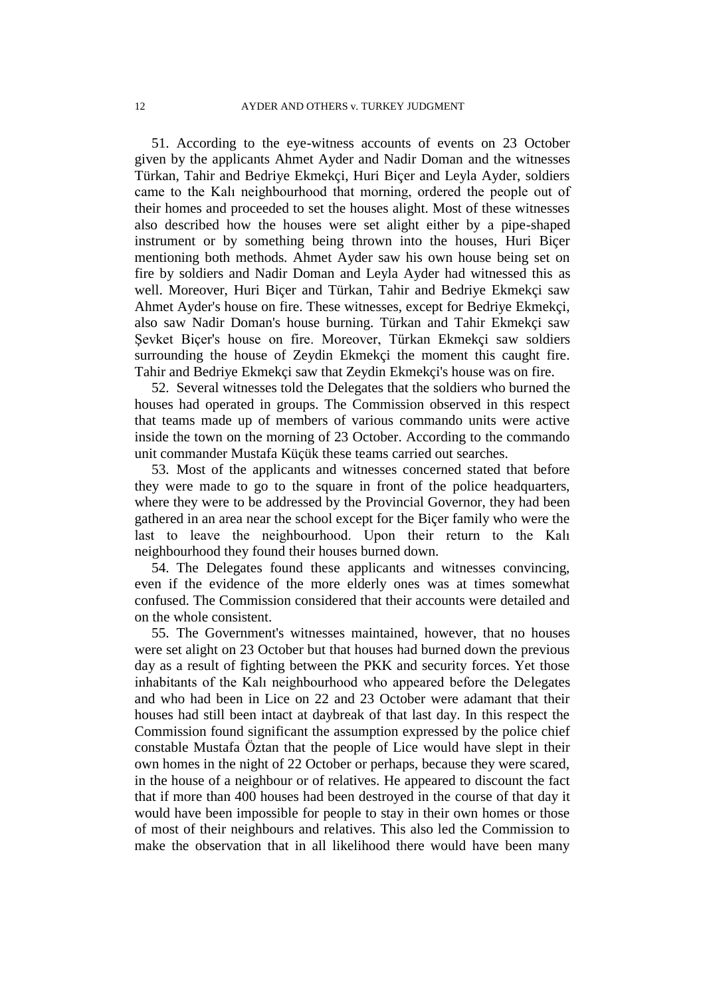51. According to the eye-witness accounts of events on 23 October given by the applicants Ahmet Ayder and Nadir Doman and the witnesses Türkan, Tahir and Bedriye Ekmekçi, Huri Biçer and Leyla Ayder, soldiers came to the Kalı neighbourhood that morning, ordered the people out of their homes and proceeded to set the houses alight. Most of these witnesses also described how the houses were set alight either by a pipe-shaped instrument or by something being thrown into the houses, Huri Biçer mentioning both methods. Ahmet Ayder saw his own house being set on fire by soldiers and Nadir Doman and Leyla Ayder had witnessed this as well. Moreover, Huri Biçer and Türkan, Tahir and Bedriye Ekmekçi saw Ahmet Ayder's house on fire. These witnesses, except for Bedriye Ekmekçi, also saw Nadir Doman's house burning. Türkan and Tahir Ekmekçi saw Şevket Biçer's house on fire. Moreover, Türkan Ekmekçi saw soldiers surrounding the house of Zeydin Ekmekçi the moment this caught fire. Tahir and Bedriye Ekmekçi saw that Zeydin Ekmekçi's house was on fire.

52. Several witnesses told the Delegates that the soldiers who burned the houses had operated in groups. The Commission observed in this respect that teams made up of members of various commando units were active inside the town on the morning of 23 October. According to the commando unit commander Mustafa Küçük these teams carried out searches.

53. Most of the applicants and witnesses concerned stated that before they were made to go to the square in front of the police headquarters, where they were to be addressed by the Provincial Governor, they had been gathered in an area near the school except for the Biçer family who were the last to leave the neighbourhood. Upon their return to the Kalı neighbourhood they found their houses burned down.

54. The Delegates found these applicants and witnesses convincing, even if the evidence of the more elderly ones was at times somewhat confused. The Commission considered that their accounts were detailed and on the whole consistent.

55. The Government's witnesses maintained, however, that no houses were set alight on 23 October but that houses had burned down the previous day as a result of fighting between the PKK and security forces. Yet those inhabitants of the Kalı neighbourhood who appeared before the Delegates and who had been in Lice on 22 and 23 October were adamant that their houses had still been intact at daybreak of that last day. In this respect the Commission found significant the assumption expressed by the police chief constable Mustafa Öztan that the people of Lice would have slept in their own homes in the night of 22 October or perhaps, because they were scared, in the house of a neighbour or of relatives. He appeared to discount the fact that if more than 400 houses had been destroyed in the course of that day it would have been impossible for people to stay in their own homes or those of most of their neighbours and relatives. This also led the Commission to make the observation that in all likelihood there would have been many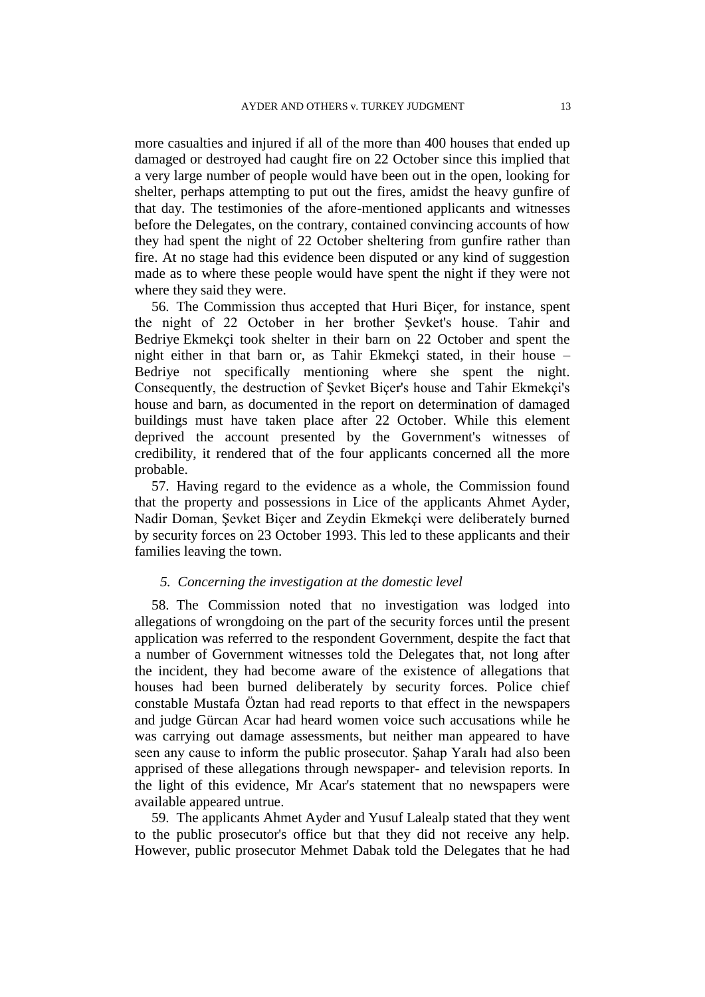more casualties and injured if all of the more than 400 houses that ended up damaged or destroyed had caught fire on 22 October since this implied that a very large number of people would have been out in the open, looking for shelter, perhaps attempting to put out the fires, amidst the heavy gunfire of that day. The testimonies of the afore-mentioned applicants and witnesses before the Delegates, on the contrary, contained convincing accounts of how they had spent the night of 22 October sheltering from gunfire rather than fire. At no stage had this evidence been disputed or any kind of suggestion made as to where these people would have spent the night if they were not where they said they were.

56. The Commission thus accepted that Huri Biçer, for instance, spent the night of 22 October in her brother Şevket's house. Tahir and Bedriye Ekmekçi took shelter in their barn on 22 October and spent the night either in that barn or, as Tahir Ekmekçi stated, in their house – Bedriye not specifically mentioning where she spent the night. Consequently, the destruction of Şevket Biçer's house and Tahir Ekmekçi's house and barn, as documented in the report on determination of damaged buildings must have taken place after 22 October. While this element deprived the account presented by the Government's witnesses of credibility, it rendered that of the four applicants concerned all the more probable.

57. Having regard to the evidence as a whole, the Commission found that the property and possessions in Lice of the applicants Ahmet Ayder, Nadir Doman, Şevket Biçer and Zeydin Ekmekçi were deliberately burned by security forces on 23 October 1993. This led to these applicants and their families leaving the town.

#### *5. Concerning the investigation at the domestic level*

58. The Commission noted that no investigation was lodged into allegations of wrongdoing on the part of the security forces until the present application was referred to the respondent Government, despite the fact that a number of Government witnesses told the Delegates that, not long after the incident, they had become aware of the existence of allegations that houses had been burned deliberately by security forces. Police chief constable Mustafa Öztan had read reports to that effect in the newspapers and judge Gürcan Acar had heard women voice such accusations while he was carrying out damage assessments, but neither man appeared to have seen any cause to inform the public prosecutor. Şahap Yaralı had also been apprised of these allegations through newspaper- and television reports. In the light of this evidence, Mr Acar's statement that no newspapers were available appeared untrue.

59. The applicants Ahmet Ayder and Yusuf Lalealp stated that they went to the public prosecutor's office but that they did not receive any help. However, public prosecutor Mehmet Dabak told the Delegates that he had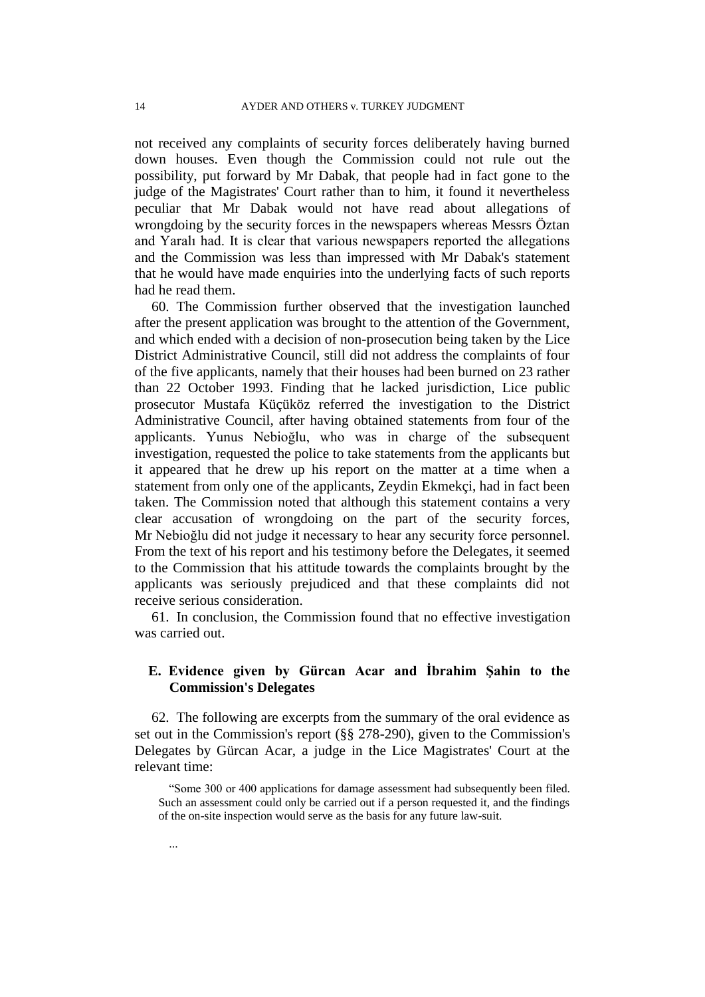not received any complaints of security forces deliberately having burned down houses. Even though the Commission could not rule out the possibility, put forward by Mr Dabak, that people had in fact gone to the judge of the Magistrates' Court rather than to him, it found it nevertheless peculiar that Mr Dabak would not have read about allegations of wrongdoing by the security forces in the newspapers whereas Messrs Öztan and Yaralı had. It is clear that various newspapers reported the allegations and the Commission was less than impressed with Mr Dabak's statement that he would have made enquiries into the underlying facts of such reports had he read them.

60. The Commission further observed that the investigation launched after the present application was brought to the attention of the Government, and which ended with a decision of non-prosecution being taken by the Lice District Administrative Council, still did not address the complaints of four of the five applicants, namely that their houses had been burned on 23 rather than 22 October 1993. Finding that he lacked jurisdiction, Lice public prosecutor Mustafa Küçüköz referred the investigation to the District Administrative Council, after having obtained statements from four of the applicants. Yunus Nebioğlu, who was in charge of the subsequent investigation, requested the police to take statements from the applicants but it appeared that he drew up his report on the matter at a time when a statement from only one of the applicants, Zeydin Ekmekçi, had in fact been taken. The Commission noted that although this statement contains a very clear accusation of wrongdoing on the part of the security forces, Mr Nebioğlu did not judge it necessary to hear any security force personnel. From the text of his report and his testimony before the Delegates, it seemed to the Commission that his attitude towards the complaints brought by the applicants was seriously prejudiced and that these complaints did not receive serious consideration.

61. In conclusion, the Commission found that no effective investigation was carried out.

# **E. Evidence given by Gürcan Acar and İbrahim Şahin to the Commission's Delegates**

62. The following are excerpts from the summary of the oral evidence as set out in the Commission's report (§§ 278-290), given to the Commission's Delegates by Gürcan Acar, a judge in the Lice Magistrates' Court at the relevant time:

"Some 300 or 400 applications for damage assessment had subsequently been filed. Such an assessment could only be carried out if a person requested it, and the findings of the on-site inspection would serve as the basis for any future law-suit.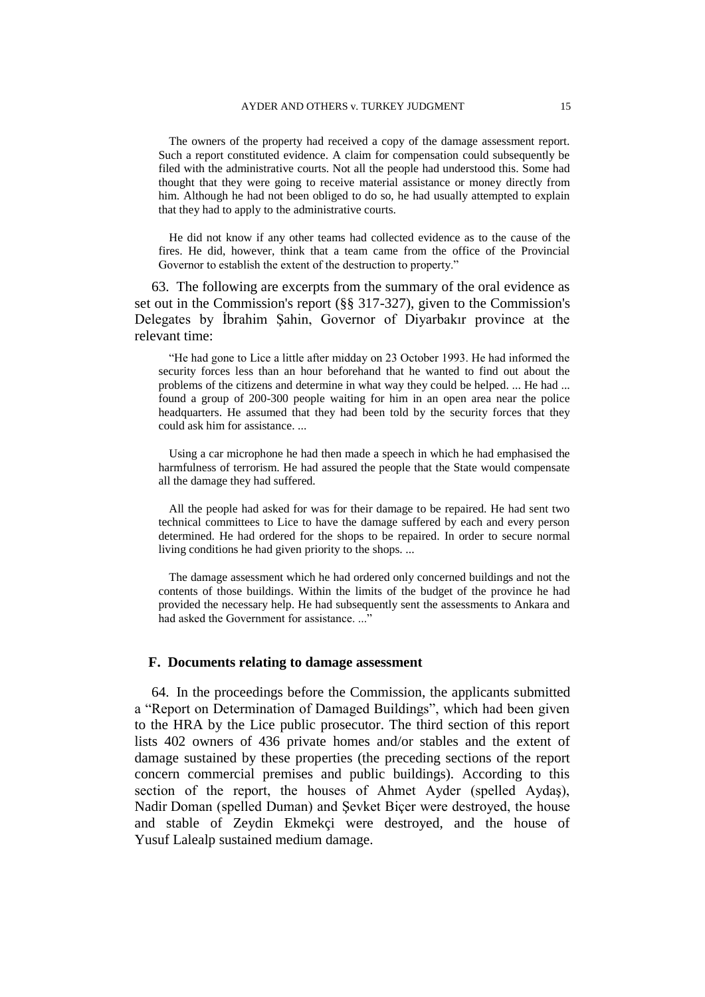The owners of the property had received a copy of the damage assessment report. Such a report constituted evidence. A claim for compensation could subsequently be filed with the administrative courts. Not all the people had understood this. Some had thought that they were going to receive material assistance or money directly from him. Although he had not been obliged to do so, he had usually attempted to explain that they had to apply to the administrative courts.

He did not know if any other teams had collected evidence as to the cause of the fires. He did, however, think that a team came from the office of the Provincial Governor to establish the extent of the destruction to property."

63. The following are excerpts from the summary of the oral evidence as set out in the Commission's report (§§ 317-327), given to the Commission's Delegates by İbrahim Şahin, Governor of Diyarbakır province at the relevant time:

"He had gone to Lice a little after midday on 23 October 1993. He had informed the security forces less than an hour beforehand that he wanted to find out about the problems of the citizens and determine in what way they could be helped. ... He had ... found a group of 200-300 people waiting for him in an open area near the police headquarters. He assumed that they had been told by the security forces that they could ask him for assistance. ...

Using a car microphone he had then made a speech in which he had emphasised the harmfulness of terrorism. He had assured the people that the State would compensate all the damage they had suffered.

All the people had asked for was for their damage to be repaired. He had sent two technical committees to Lice to have the damage suffered by each and every person determined. He had ordered for the shops to be repaired. In order to secure normal living conditions he had given priority to the shops. ...

The damage assessment which he had ordered only concerned buildings and not the contents of those buildings. Within the limits of the budget of the province he had provided the necessary help. He had subsequently sent the assessments to Ankara and had asked the Government for assistance...."

#### **F. Documents relating to damage assessment**

64. In the proceedings before the Commission, the applicants submitted a "Report on Determination of Damaged Buildings", which had been given to the HRA by the Lice public prosecutor. The third section of this report lists 402 owners of 436 private homes and/or stables and the extent of damage sustained by these properties (the preceding sections of the report concern commercial premises and public buildings). According to this section of the report, the houses of Ahmet Ayder (spelled Aydaş), Nadir Doman (spelled Duman) and Şevket Biçer were destroyed, the house and stable of Zeydin Ekmekçi were destroyed, and the house of Yusuf Lalealp sustained medium damage.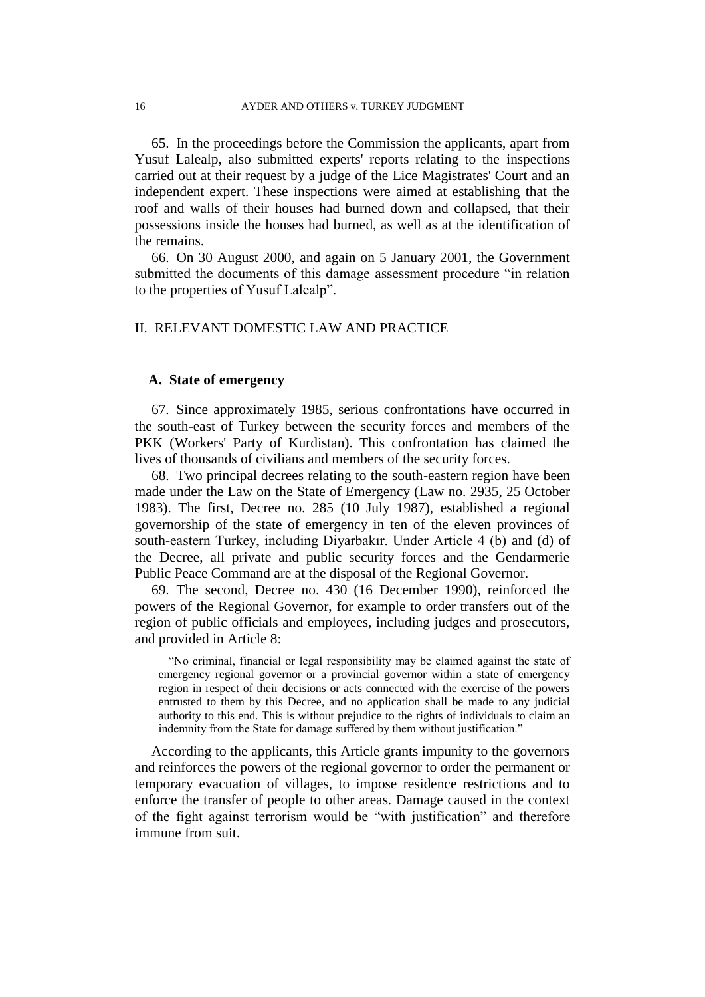65. In the proceedings before the Commission the applicants, apart from Yusuf Lalealp, also submitted experts' reports relating to the inspections carried out at their request by a judge of the Lice Magistrates' Court and an independent expert. These inspections were aimed at establishing that the roof and walls of their houses had burned down and collapsed, that their possessions inside the houses had burned, as well as at the identification of the remains.

66. On 30 August 2000, and again on 5 January 2001, the Government submitted the documents of this damage assessment procedure "in relation to the properties of Yusuf Lalealp".

# II. RELEVANT DOMESTIC LAW AND PRACTICE

## **A. State of emergency**

67. Since approximately 1985, serious confrontations have occurred in the south-east of Turkey between the security forces and members of the PKK (Workers' Party of Kurdistan). This confrontation has claimed the lives of thousands of civilians and members of the security forces.

68. Two principal decrees relating to the south-eastern region have been made under the Law on the State of Emergency (Law no. 2935, 25 October 1983). The first, Decree no. 285 (10 July 1987), established a regional governorship of the state of emergency in ten of the eleven provinces of south-eastern Turkey, including Diyarbakır. Under Article 4 (b) and (d) of the Decree, all private and public security forces and the Gendarmerie Public Peace Command are at the disposal of the Regional Governor.

69. The second, Decree no. 430 (16 December 1990), reinforced the powers of the Regional Governor, for example to order transfers out of the region of public officials and employees, including judges and prosecutors, and provided in Article 8:

"No criminal, financial or legal responsibility may be claimed against the state of emergency regional governor or a provincial governor within a state of emergency region in respect of their decisions or acts connected with the exercise of the powers entrusted to them by this Decree, and no application shall be made to any judicial authority to this end. This is without prejudice to the rights of individuals to claim an indemnity from the State for damage suffered by them without justification."

According to the applicants, this Article grants impunity to the governors and reinforces the powers of the regional governor to order the permanent or temporary evacuation of villages, to impose residence restrictions and to enforce the transfer of people to other areas. Damage caused in the context of the fight against terrorism would be "with justification" and therefore immune from suit.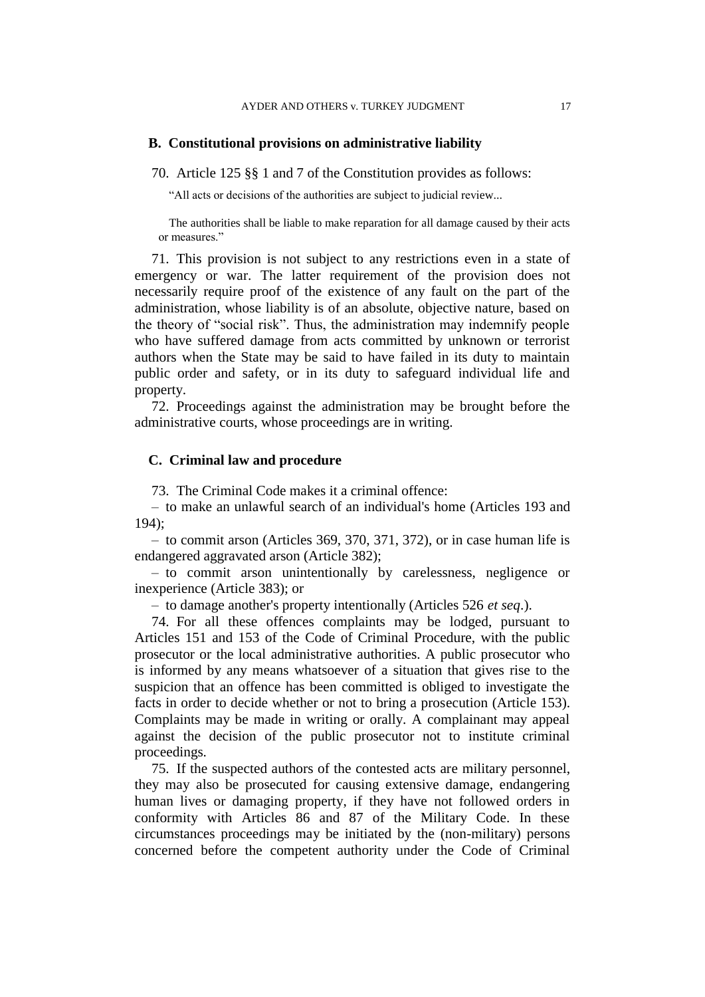#### **B. Constitutional provisions on administrative liability**

70. Article 125 §§ 1 and 7 of the Constitution provides as follows:

"All acts or decisions of the authorities are subject to judicial review...

The authorities shall be liable to make reparation for all damage caused by their acts or measures."

71. This provision is not subject to any restrictions even in a state of emergency or war. The latter requirement of the provision does not necessarily require proof of the existence of any fault on the part of the administration, whose liability is of an absolute, objective nature, based on the theory of "social risk". Thus, the administration may indemnify people who have suffered damage from acts committed by unknown or terrorist authors when the State may be said to have failed in its duty to maintain public order and safety, or in its duty to safeguard individual life and property.

72. Proceedings against the administration may be brought before the administrative courts, whose proceedings are in writing.

## **C. Criminal law and procedure**

73. The Criminal Code makes it a criminal offence:

– to make an unlawful search of an individual's home (Articles 193 and 194);

– to commit arson (Articles 369, 370, 371, 372), or in case human life is endangered aggravated arson (Article 382);

– to commit arson unintentionally by carelessness, negligence or inexperience (Article 383); or

– to damage another's property intentionally (Articles 526 *et seq*.).

74. For all these offences complaints may be lodged, pursuant to Articles 151 and 153 of the Code of Criminal Procedure, with the public prosecutor or the local administrative authorities. A public prosecutor who is informed by any means whatsoever of a situation that gives rise to the suspicion that an offence has been committed is obliged to investigate the facts in order to decide whether or not to bring a prosecution (Article 153). Complaints may be made in writing or orally. A complainant may appeal against the decision of the public prosecutor not to institute criminal proceedings.

75. If the suspected authors of the contested acts are military personnel, they may also be prosecuted for causing extensive damage, endangering human lives or damaging property, if they have not followed orders in conformity with Articles 86 and 87 of the Military Code. In these circumstances proceedings may be initiated by the (non-military) persons concerned before the competent authority under the Code of Criminal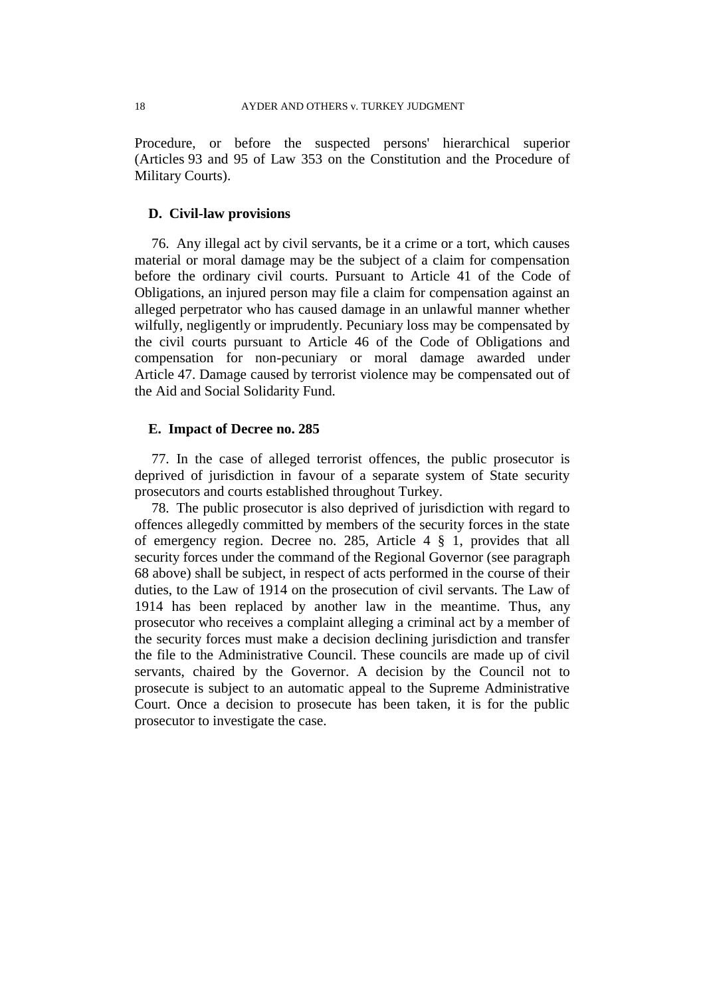Procedure, or before the suspected persons' hierarchical superior (Articles 93 and 95 of Law 353 on the Constitution and the Procedure of Military Courts).

#### **D. Civil-law provisions**

76. Any illegal act by civil servants, be it a crime or a tort, which causes material or moral damage may be the subject of a claim for compensation before the ordinary civil courts. Pursuant to Article 41 of the Code of Obligations, an injured person may file a claim for compensation against an alleged perpetrator who has caused damage in an unlawful manner whether wilfully, negligently or imprudently. Pecuniary loss may be compensated by the civil courts pursuant to Article 46 of the Code of Obligations and compensation for non-pecuniary or moral damage awarded under Article 47. Damage caused by terrorist violence may be compensated out of the Aid and Social Solidarity Fund.

## **E. Impact of Decree no. 285**

77. In the case of alleged terrorist offences, the public prosecutor is deprived of jurisdiction in favour of a separate system of State security prosecutors and courts established throughout Turkey.

78. The public prosecutor is also deprived of jurisdiction with regard to offences allegedly committed by members of the security forces in the state of emergency region. Decree no. 285, Article 4 § 1, provides that all security forces under the command of the Regional Governor (see paragraph 68 above) shall be subject, in respect of acts performed in the course of their duties, to the Law of 1914 on the prosecution of civil servants. The Law of 1914 has been replaced by another law in the meantime. Thus, any prosecutor who receives a complaint alleging a criminal act by a member of the security forces must make a decision declining jurisdiction and transfer the file to the Administrative Council. These councils are made up of civil servants, chaired by the Governor. A decision by the Council not to prosecute is subject to an automatic appeal to the Supreme Administrative Court. Once a decision to prosecute has been taken, it is for the public prosecutor to investigate the case.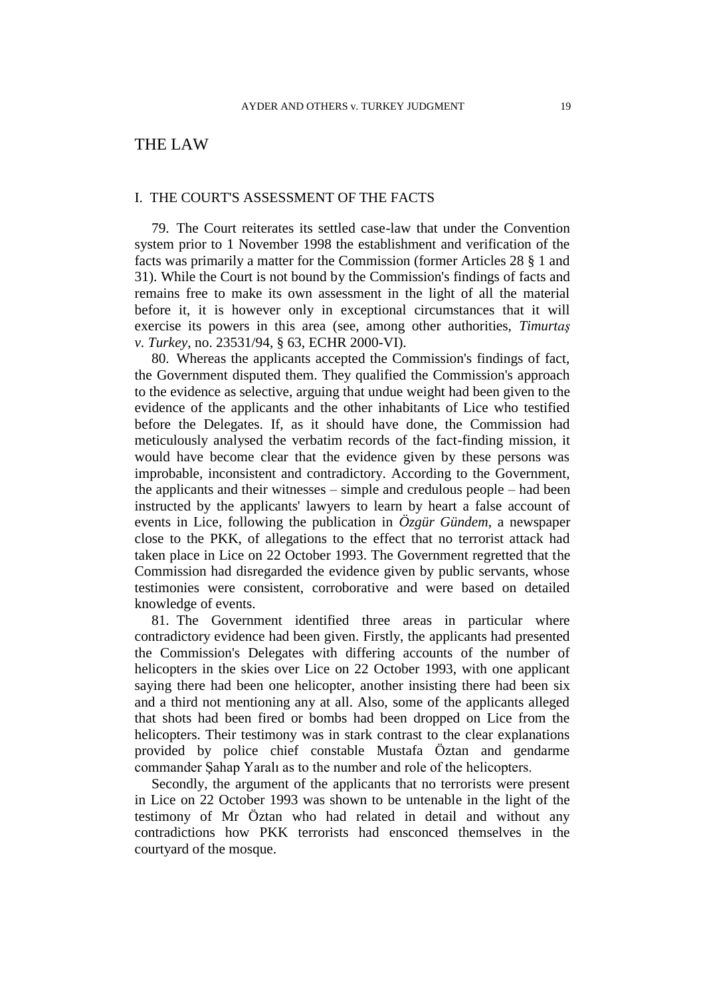# THE LAW

#### I. THE COURT'S ASSESSMENT OF THE FACTS

79. The Court reiterates its settled case-law that under the Convention system prior to 1 November 1998 the establishment and verification of the facts was primarily a matter for the Commission (former Articles 28 § 1 and 31). While the Court is not bound by the Commission's findings of facts and remains free to make its own assessment in the light of all the material before it, it is however only in exceptional circumstances that it will exercise its powers in this area (see, among other authorities, *Timurtaş v. Turkey*, no. 23531/94, § 63, ECHR 2000-VI).

80. Whereas the applicants accepted the Commission's findings of fact, the Government disputed them. They qualified the Commission's approach to the evidence as selective, arguing that undue weight had been given to the evidence of the applicants and the other inhabitants of Lice who testified before the Delegates. If, as it should have done, the Commission had meticulously analysed the verbatim records of the fact-finding mission, it would have become clear that the evidence given by these persons was improbable, inconsistent and contradictory. According to the Government, the applicants and their witnesses – simple and credulous people – had been instructed by the applicants' lawyers to learn by heart a false account of events in Lice, following the publication in *Özgür Gündem*, a newspaper close to the PKK, of allegations to the effect that no terrorist attack had taken place in Lice on 22 October 1993. The Government regretted that the Commission had disregarded the evidence given by public servants, whose testimonies were consistent, corroborative and were based on detailed knowledge of events.

81. The Government identified three areas in particular where contradictory evidence had been given. Firstly, the applicants had presented the Commission's Delegates with differing accounts of the number of helicopters in the skies over Lice on 22 October 1993, with one applicant saying there had been one helicopter, another insisting there had been six and a third not mentioning any at all. Also, some of the applicants alleged that shots had been fired or bombs had been dropped on Lice from the helicopters. Their testimony was in stark contrast to the clear explanations provided by police chief constable Mustafa Öztan and gendarme commander Şahap Yaralı as to the number and role of the helicopters.

Secondly, the argument of the applicants that no terrorists were present in Lice on 22 October 1993 was shown to be untenable in the light of the testimony of Mr Öztan who had related in detail and without any contradictions how PKK terrorists had ensconced themselves in the courtyard of the mosque.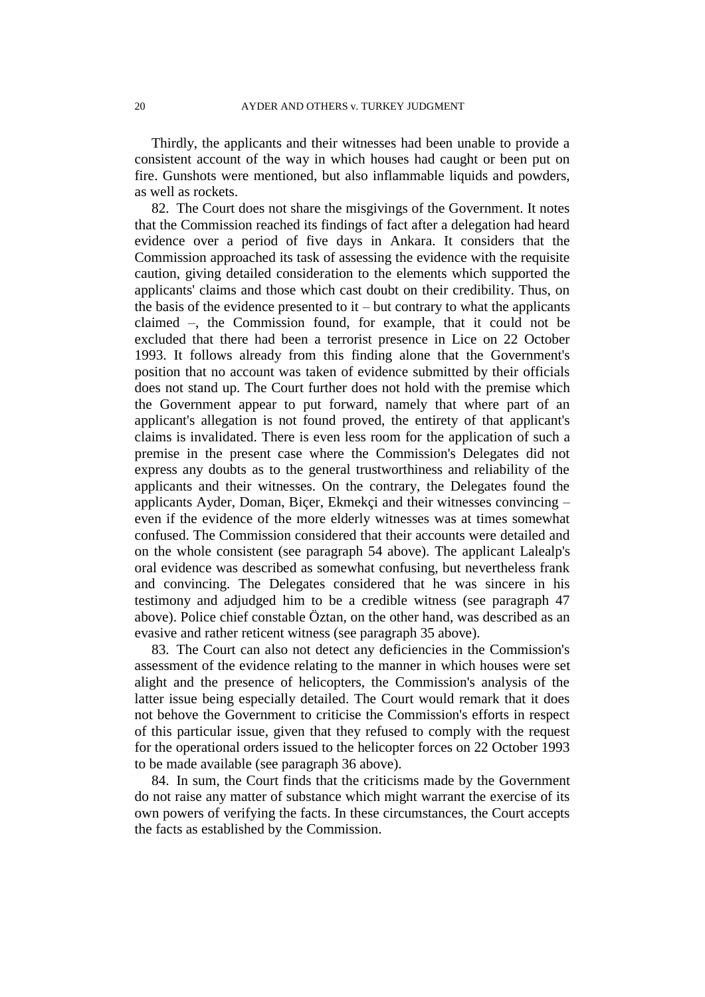Thirdly, the applicants and their witnesses had been unable to provide a consistent account of the way in which houses had caught or been put on fire. Gunshots were mentioned, but also inflammable liquids and powders, as well as rockets.

82. The Court does not share the misgivings of the Government. It notes that the Commission reached its findings of fact after a delegation had heard evidence over a period of five days in Ankara. It considers that the Commission approached its task of assessing the evidence with the requisite caution, giving detailed consideration to the elements which supported the applicants' claims and those which cast doubt on their credibility. Thus, on the basis of the evidence presented to  $it$  – but contrary to what the applicants claimed –, the Commission found, for example, that it could not be excluded that there had been a terrorist presence in Lice on 22 October 1993. It follows already from this finding alone that the Government's position that no account was taken of evidence submitted by their officials does not stand up. The Court further does not hold with the premise which the Government appear to put forward, namely that where part of an applicant's allegation is not found proved, the entirety of that applicant's claims is invalidated. There is even less room for the application of such a premise in the present case where the Commission's Delegates did not express any doubts as to the general trustworthiness and reliability of the applicants and their witnesses. On the contrary, the Delegates found the applicants Ayder, Doman, Biçer, Ekmekçi and their witnesses convincing – even if the evidence of the more elderly witnesses was at times somewhat confused. The Commission considered that their accounts were detailed and on the whole consistent (see paragraph 54 above). The applicant Lalealp's oral evidence was described as somewhat confusing, but nevertheless frank and convincing. The Delegates considered that he was sincere in his testimony and adjudged him to be a credible witness (see paragraph 47 above). Police chief constable Öztan, on the other hand, was described as an evasive and rather reticent witness (see paragraph 35 above).

83. The Court can also not detect any deficiencies in the Commission's assessment of the evidence relating to the manner in which houses were set alight and the presence of helicopters, the Commission's analysis of the latter issue being especially detailed. The Court would remark that it does not behove the Government to criticise the Commission's efforts in respect of this particular issue, given that they refused to comply with the request for the operational orders issued to the helicopter forces on 22 October 1993 to be made available (see paragraph 36 above).

84. In sum, the Court finds that the criticisms made by the Government do not raise any matter of substance which might warrant the exercise of its own powers of verifying the facts. In these circumstances, the Court accepts the facts as established by the Commission.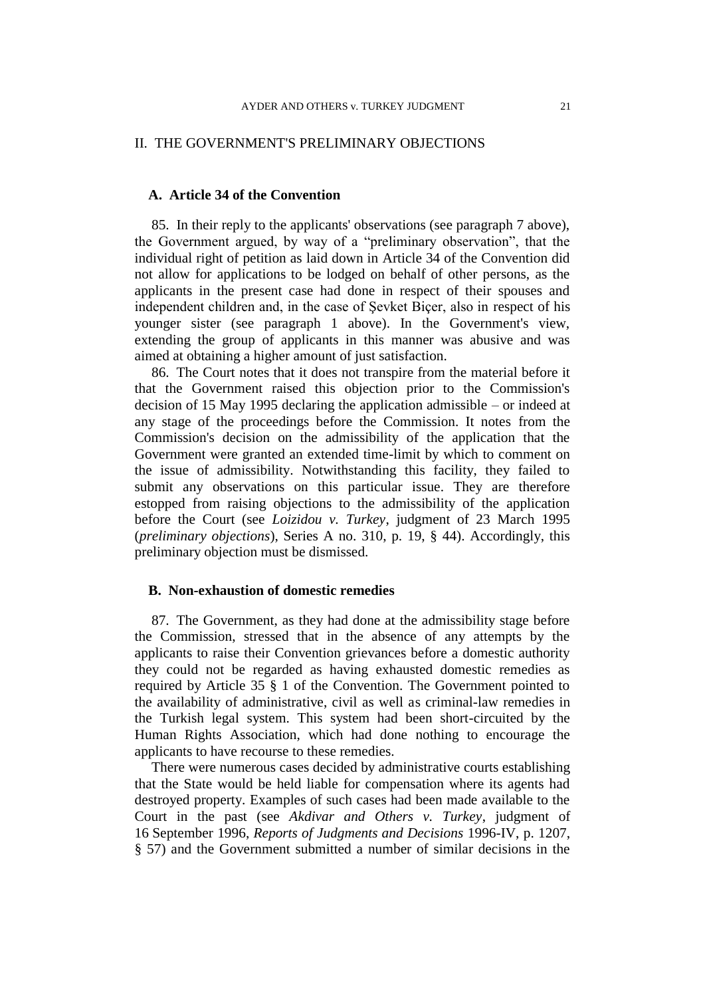# II. THE GOVERNMENT'S PRELIMINARY OBJECTIONS

# **A. Article 34 of the Convention**

85. In their reply to the applicants' observations (see paragraph 7 above), the Government argued, by way of a "preliminary observation", that the individual right of petition as laid down in Article 34 of the Convention did not allow for applications to be lodged on behalf of other persons, as the applicants in the present case had done in respect of their spouses and independent children and, in the case of Şevket Biçer, also in respect of his younger sister (see paragraph 1 above). In the Government's view, extending the group of applicants in this manner was abusive and was aimed at obtaining a higher amount of just satisfaction.

86. The Court notes that it does not transpire from the material before it that the Government raised this objection prior to the Commission's decision of 15 May 1995 declaring the application admissible – or indeed at any stage of the proceedings before the Commission. It notes from the Commission's decision on the admissibility of the application that the Government were granted an extended time-limit by which to comment on the issue of admissibility. Notwithstanding this facility, they failed to submit any observations on this particular issue. They are therefore estopped from raising objections to the admissibility of the application before the Court (see *Loizidou v. Turkey*, judgment of 23 March 1995 (*preliminary objections*), Series A no. 310, p. 19, § 44). Accordingly, this preliminary objection must be dismissed.

# **B. Non-exhaustion of domestic remedies**

87. The Government, as they had done at the admissibility stage before the Commission, stressed that in the absence of any attempts by the applicants to raise their Convention grievances before a domestic authority they could not be regarded as having exhausted domestic remedies as required by Article 35 § 1 of the Convention. The Government pointed to the availability of administrative, civil as well as criminal-law remedies in the Turkish legal system. This system had been short-circuited by the Human Rights Association, which had done nothing to encourage the applicants to have recourse to these remedies.

There were numerous cases decided by administrative courts establishing that the State would be held liable for compensation where its agents had destroyed property. Examples of such cases had been made available to the Court in the past (see *Akdivar and Others v. Turkey*, judgment of 16 September 1996, *Reports of Judgments and Decisions* 1996-IV, p. 1207, § 57) and the Government submitted a number of similar decisions in the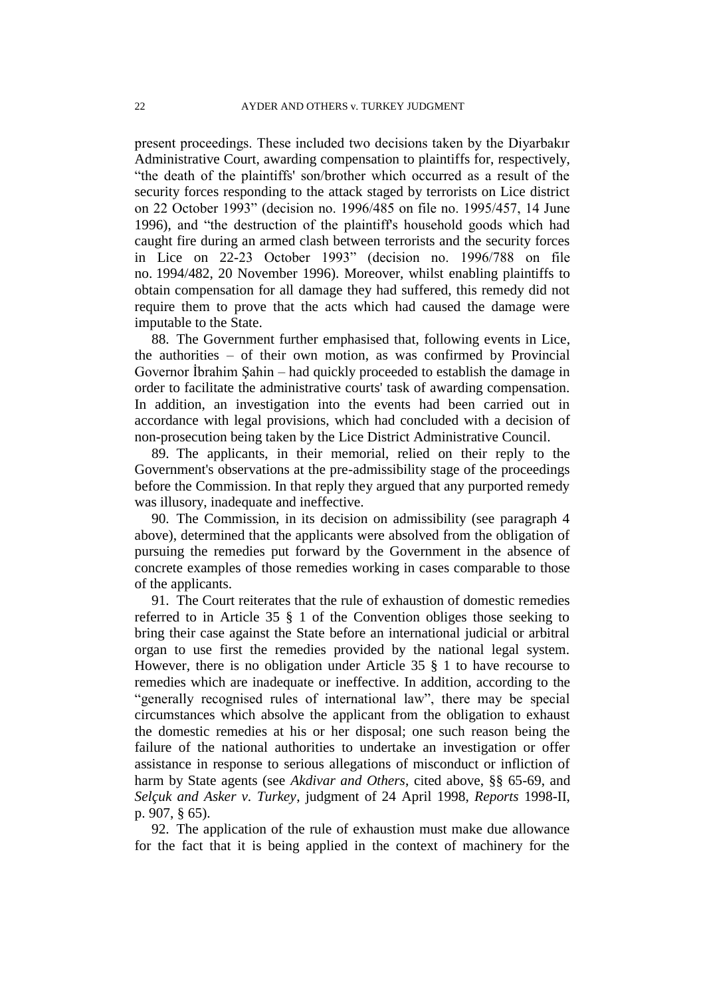present proceedings. These included two decisions taken by the Diyarbakır Administrative Court, awarding compensation to plaintiffs for, respectively, "the death of the plaintiffs' son/brother which occurred as a result of the security forces responding to the attack staged by terrorists on Lice district on 22 October 1993" (decision no. 1996/485 on file no. 1995/457, 14 June 1996), and "the destruction of the plaintiff's household goods which had caught fire during an armed clash between terrorists and the security forces in Lice on 22-23 October 1993" (decision no. 1996/788 on file no. 1994/482, 20 November 1996). Moreover, whilst enabling plaintiffs to obtain compensation for all damage they had suffered, this remedy did not require them to prove that the acts which had caused the damage were imputable to the State.

88. The Government further emphasised that, following events in Lice, the authorities – of their own motion, as was confirmed by Provincial Governor İbrahim Şahin – had quickly proceeded to establish the damage in order to facilitate the administrative courts' task of awarding compensation. In addition, an investigation into the events had been carried out in accordance with legal provisions, which had concluded with a decision of non-prosecution being taken by the Lice District Administrative Council.

89. The applicants, in their memorial, relied on their reply to the Government's observations at the pre-admissibility stage of the proceedings before the Commission. In that reply they argued that any purported remedy was illusory, inadequate and ineffective.

90. The Commission, in its decision on admissibility (see paragraph 4 above), determined that the applicants were absolved from the obligation of pursuing the remedies put forward by the Government in the absence of concrete examples of those remedies working in cases comparable to those of the applicants.

91. The Court reiterates that the rule of exhaustion of domestic remedies referred to in Article 35 § 1 of the Convention obliges those seeking to bring their case against the State before an international judicial or arbitral organ to use first the remedies provided by the national legal system. However, there is no obligation under Article 35 § 1 to have recourse to remedies which are inadequate or ineffective. In addition, according to the "generally recognised rules of international law", there may be special circumstances which absolve the applicant from the obligation to exhaust the domestic remedies at his or her disposal; one such reason being the failure of the national authorities to undertake an investigation or offer assistance in response to serious allegations of misconduct or infliction of harm by State agents (see *Akdivar and Others*, cited above, §§ 65-69, and *Selçuk and Asker v. Turkey*, judgment of 24 April 1998, *Reports* 1998-II, p. 907, § 65).

92. The application of the rule of exhaustion must make due allowance for the fact that it is being applied in the context of machinery for the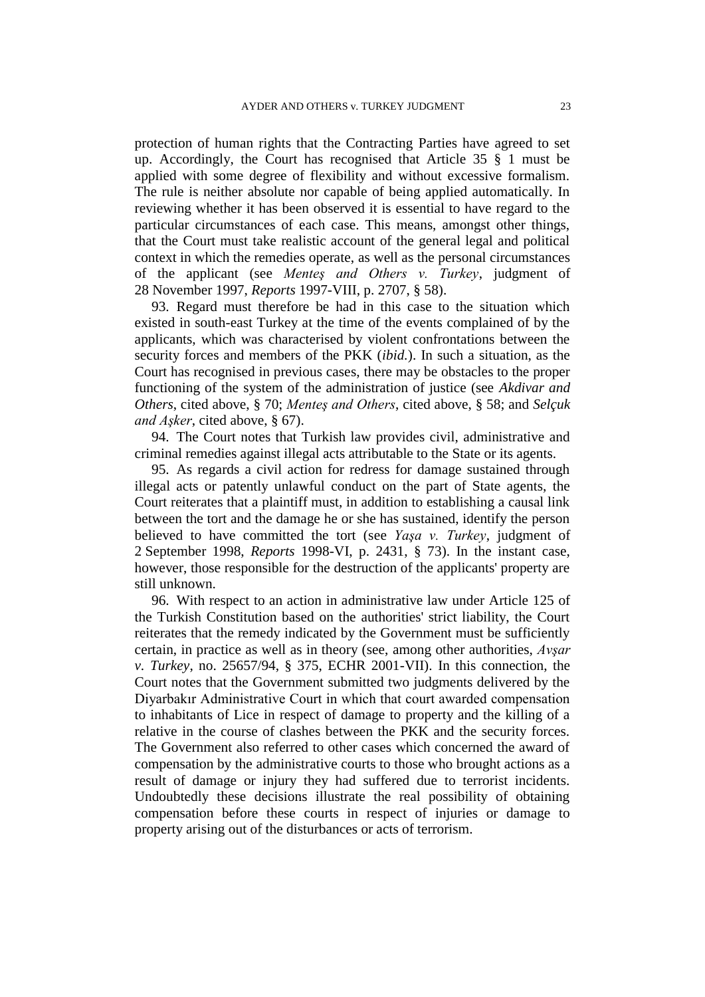protection of human rights that the Contracting Parties have agreed to set up. Accordingly, the Court has recognised that Article 35 § 1 must be applied with some degree of flexibility and without excessive formalism. The rule is neither absolute nor capable of being applied automatically. In reviewing whether it has been observed it is essential to have regard to the particular circumstances of each case. This means, amongst other things, that the Court must take realistic account of the general legal and political context in which the remedies operate, as well as the personal circumstances of the applicant (see *Menteş and Others v. Turkey*, judgment of 28 November 1997, *Reports* 1997-VIII, p. 2707, § 58).

93. Regard must therefore be had in this case to the situation which existed in south-east Turkey at the time of the events complained of by the applicants, which was characterised by violent confrontations between the security forces and members of the PKK (*ibid.*). In such a situation, as the Court has recognised in previous cases, there may be obstacles to the proper functioning of the system of the administration of justice (see *Akdivar and Others*, cited above, § 70; *Menteş and Others*, cited above, § 58; and *Selçuk and Aşker*, cited above, § 67).

94. The Court notes that Turkish law provides civil, administrative and criminal remedies against illegal acts attributable to the State or its agents.

95. As regards a civil action for redress for damage sustained through illegal acts or patently unlawful conduct on the part of State agents, the Court reiterates that a plaintiff must, in addition to establishing a causal link between the tort and the damage he or she has sustained, identify the person believed to have committed the tort (see *Yaşa v. Turkey*, judgment of 2 September 1998, *Reports* 1998-VI, p. 2431, § 73). In the instant case, however, those responsible for the destruction of the applicants' property are still unknown.

96. With respect to an action in administrative law under Article 125 of the Turkish Constitution based on the authorities' strict liability, the Court reiterates that the remedy indicated by the Government must be sufficiently certain, in practice as well as in theory (see, among other authorities, *Avşar v. Turkey*, no. 25657/94, § 375, ECHR 2001-VII). In this connection, the Court notes that the Government submitted two judgments delivered by the Diyarbakır Administrative Court in which that court awarded compensation to inhabitants of Lice in respect of damage to property and the killing of a relative in the course of clashes between the PKK and the security forces. The Government also referred to other cases which concerned the award of compensation by the administrative courts to those who brought actions as a result of damage or injury they had suffered due to terrorist incidents. Undoubtedly these decisions illustrate the real possibility of obtaining compensation before these courts in respect of injuries or damage to property arising out of the disturbances or acts of terrorism.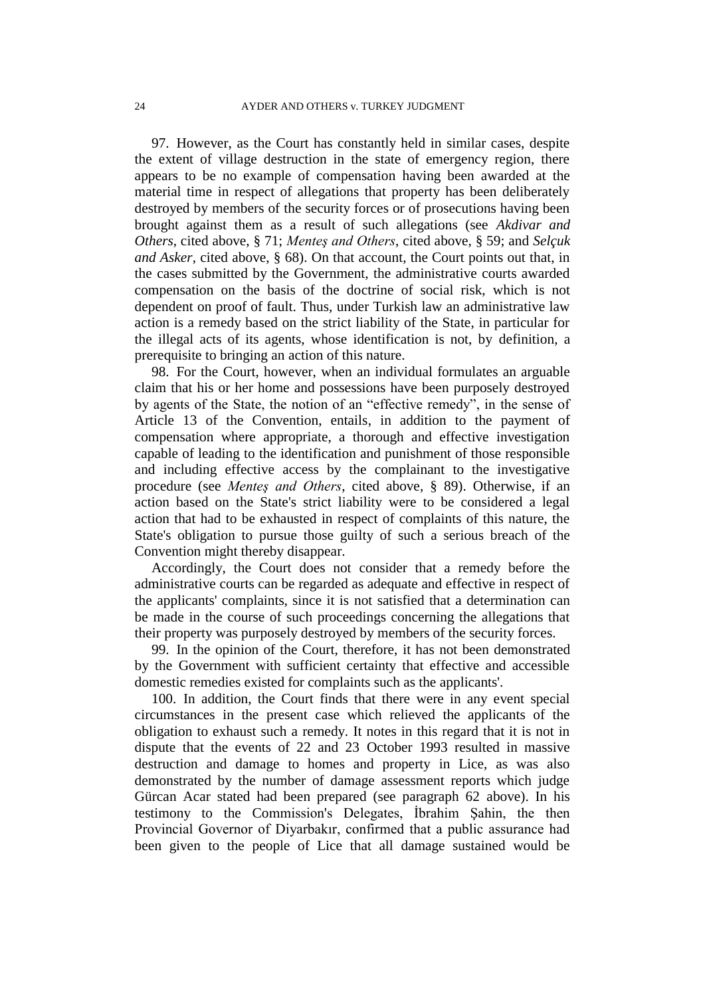97. However, as the Court has constantly held in similar cases, despite the extent of village destruction in the state of emergency region, there appears to be no example of compensation having been awarded at the material time in respect of allegations that property has been deliberately destroyed by members of the security forces or of prosecutions having been brought against them as a result of such allegations (see *Akdivar and Others*, cited above, § 71; *Menteş and Others*, cited above, § 59; and *Selçuk and Asker*, cited above, § 68). On that account, the Court points out that, in the cases submitted by the Government, the administrative courts awarded compensation on the basis of the doctrine of social risk, which is not dependent on proof of fault. Thus, under Turkish law an administrative law action is a remedy based on the strict liability of the State, in particular for the illegal acts of its agents, whose identification is not, by definition, a prerequisite to bringing an action of this nature.

98. For the Court, however, when an individual formulates an arguable claim that his or her home and possessions have been purposely destroyed by agents of the State, the notion of an "effective remedy", in the sense of Article 13 of the Convention, entails, in addition to the payment of compensation where appropriate, a thorough and effective investigation capable of leading to the identification and punishment of those responsible and including effective access by the complainant to the investigative procedure (see *Menteş and Others*, cited above, § 89). Otherwise, if an action based on the State's strict liability were to be considered a legal action that had to be exhausted in respect of complaints of this nature, the State's obligation to pursue those guilty of such a serious breach of the Convention might thereby disappear.

Accordingly, the Court does not consider that a remedy before the administrative courts can be regarded as adequate and effective in respect of the applicants' complaints, since it is not satisfied that a determination can be made in the course of such proceedings concerning the allegations that their property was purposely destroyed by members of the security forces.

99. In the opinion of the Court, therefore, it has not been demonstrated by the Government with sufficient certainty that effective and accessible domestic remedies existed for complaints such as the applicants'.

100. In addition, the Court finds that there were in any event special circumstances in the present case which relieved the applicants of the obligation to exhaust such a remedy. It notes in this regard that it is not in dispute that the events of 22 and 23 October 1993 resulted in massive destruction and damage to homes and property in Lice, as was also demonstrated by the number of damage assessment reports which judge Gürcan Acar stated had been prepared (see paragraph 62 above). In his testimony to the Commission's Delegates, İbrahim Şahin, the then Provincial Governor of Diyarbakır, confirmed that a public assurance had been given to the people of Lice that all damage sustained would be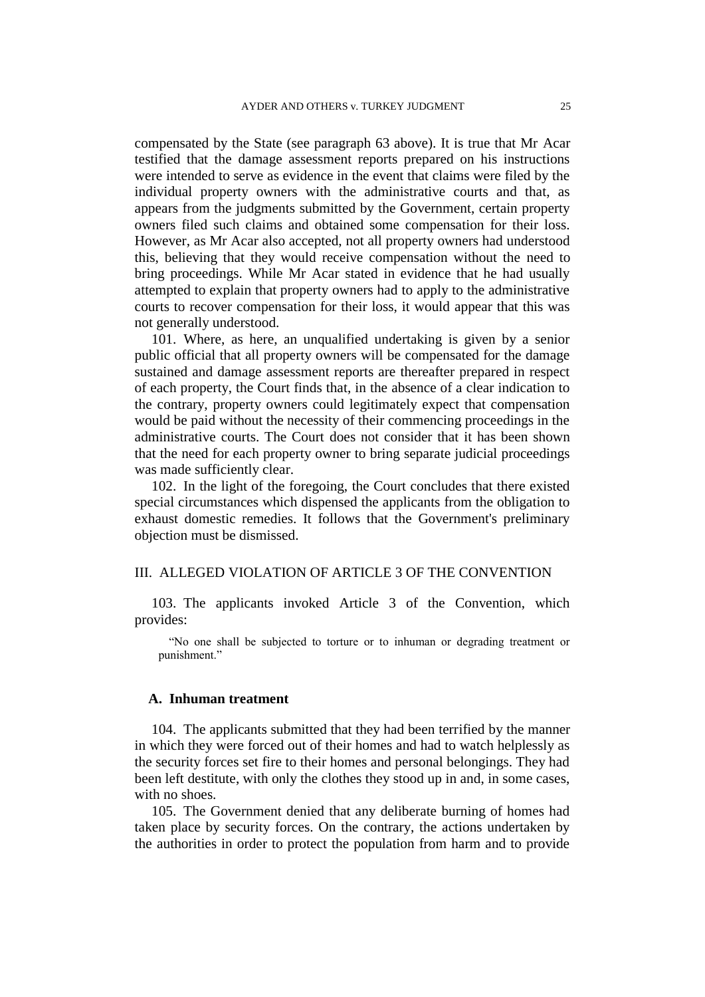compensated by the State (see paragraph 63 above). It is true that Mr Acar testified that the damage assessment reports prepared on his instructions were intended to serve as evidence in the event that claims were filed by the individual property owners with the administrative courts and that, as appears from the judgments submitted by the Government, certain property owners filed such claims and obtained some compensation for their loss. However, as Mr Acar also accepted, not all property owners had understood this, believing that they would receive compensation without the need to bring proceedings. While Mr Acar stated in evidence that he had usually attempted to explain that property owners had to apply to the administrative courts to recover compensation for their loss, it would appear that this was not generally understood.

101. Where, as here, an unqualified undertaking is given by a senior public official that all property owners will be compensated for the damage sustained and damage assessment reports are thereafter prepared in respect of each property, the Court finds that, in the absence of a clear indication to the contrary, property owners could legitimately expect that compensation would be paid without the necessity of their commencing proceedings in the administrative courts. The Court does not consider that it has been shown that the need for each property owner to bring separate judicial proceedings was made sufficiently clear.

102. In the light of the foregoing, the Court concludes that there existed special circumstances which dispensed the applicants from the obligation to exhaust domestic remedies. It follows that the Government's preliminary objection must be dismissed.

## III. ALLEGED VIOLATION OF ARTICLE 3 OF THE CONVENTION

103. The applicants invoked Article 3 of the Convention, which provides:

"No one shall be subjected to torture or to inhuman or degrading treatment or punishment."

#### **A. Inhuman treatment**

104. The applicants submitted that they had been terrified by the manner in which they were forced out of their homes and had to watch helplessly as the security forces set fire to their homes and personal belongings. They had been left destitute, with only the clothes they stood up in and, in some cases, with no shoes.

105. The Government denied that any deliberate burning of homes had taken place by security forces. On the contrary, the actions undertaken by the authorities in order to protect the population from harm and to provide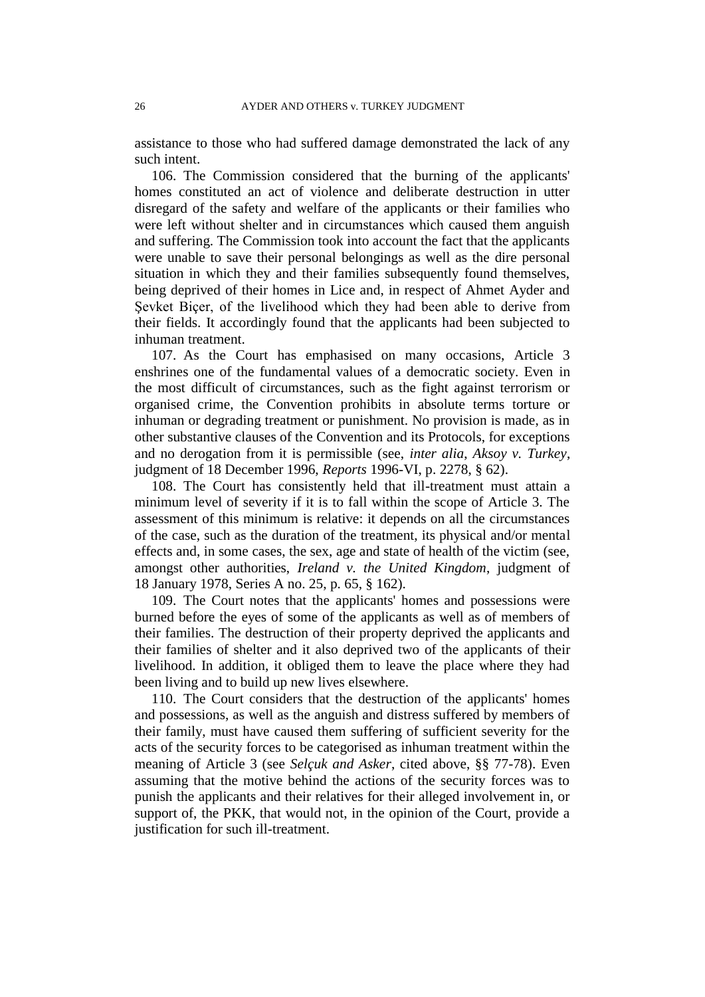assistance to those who had suffered damage demonstrated the lack of any such intent.

106. The Commission considered that the burning of the applicants' homes constituted an act of violence and deliberate destruction in utter disregard of the safety and welfare of the applicants or their families who were left without shelter and in circumstances which caused them anguish and suffering. The Commission took into account the fact that the applicants were unable to save their personal belongings as well as the dire personal situation in which they and their families subsequently found themselves, being deprived of their homes in Lice and, in respect of Ahmet Ayder and Sevket Biçer, of the livelihood which they had been able to derive from their fields. It accordingly found that the applicants had been subjected to inhuman treatment.

107. As the Court has emphasised on many occasions, Article 3 enshrines one of the fundamental values of a democratic society. Even in the most difficult of circumstances, such as the fight against terrorism or organised crime, the Convention prohibits in absolute terms torture or inhuman or degrading treatment or punishment. No provision is made, as in other substantive clauses of the Convention and its Protocols, for exceptions and no derogation from it is permissible (see, *inter alia*, *Aksoy v. Turkey*, judgment of 18 December 1996, *Reports* 1996-VI, p. 2278, § 62).

108. The Court has consistently held that ill-treatment must attain a minimum level of severity if it is to fall within the scope of Article 3. The assessment of this minimum is relative: it depends on all the circumstances of the case, such as the duration of the treatment, its physical and/or mental effects and, in some cases, the sex, age and state of health of the victim (see, amongst other authorities, *Ireland v. the United Kingdom*, judgment of 18 January 1978, Series A no. 25, p. 65, § 162).

109. The Court notes that the applicants' homes and possessions were burned before the eyes of some of the applicants as well as of members of their families. The destruction of their property deprived the applicants and their families of shelter and it also deprived two of the applicants of their livelihood. In addition, it obliged them to leave the place where they had been living and to build up new lives elsewhere.

110. The Court considers that the destruction of the applicants' homes and possessions, as well as the anguish and distress suffered by members of their family, must have caused them suffering of sufficient severity for the acts of the security forces to be categorised as inhuman treatment within the meaning of Article 3 (see *Selçuk and Asker*, cited above, §§ 77-78). Even assuming that the motive behind the actions of the security forces was to punish the applicants and their relatives for their alleged involvement in, or support of, the PKK, that would not, in the opinion of the Court, provide a justification for such ill-treatment.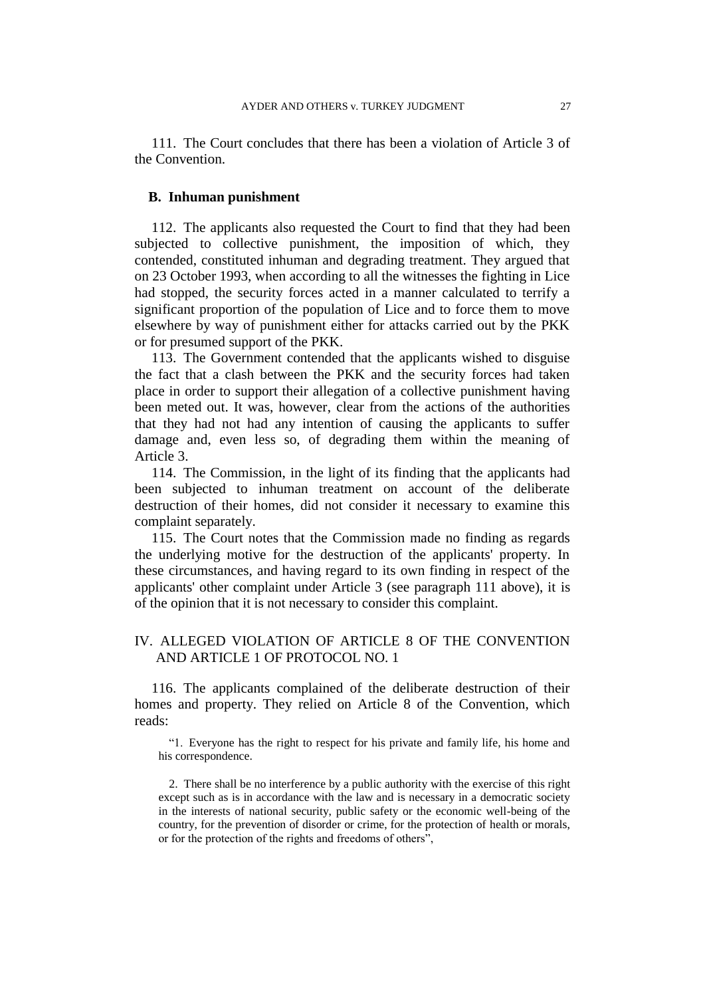111. The Court concludes that there has been a violation of Article 3 of the Convention.

#### **B. Inhuman punishment**

112. The applicants also requested the Court to find that they had been subjected to collective punishment, the imposition of which, they contended, constituted inhuman and degrading treatment. They argued that on 23 October 1993, when according to all the witnesses the fighting in Lice had stopped, the security forces acted in a manner calculated to terrify a significant proportion of the population of Lice and to force them to move elsewhere by way of punishment either for attacks carried out by the PKK or for presumed support of the PKK.

113. The Government contended that the applicants wished to disguise the fact that a clash between the PKK and the security forces had taken place in order to support their allegation of a collective punishment having been meted out. It was, however, clear from the actions of the authorities that they had not had any intention of causing the applicants to suffer damage and, even less so, of degrading them within the meaning of Article 3.

114. The Commission, in the light of its finding that the applicants had been subjected to inhuman treatment on account of the deliberate destruction of their homes, did not consider it necessary to examine this complaint separately.

115. The Court notes that the Commission made no finding as regards the underlying motive for the destruction of the applicants' property. In these circumstances, and having regard to its own finding in respect of the applicants' other complaint under Article 3 (see paragraph 111 above), it is of the opinion that it is not necessary to consider this complaint.

# IV. ALLEGED VIOLATION OF ARTICLE 8 OF THE CONVENTION AND ARTICLE 1 OF PROTOCOL NO. 1

116. The applicants complained of the deliberate destruction of their homes and property. They relied on Article 8 of the Convention, which reads:

"1. Everyone has the right to respect for his private and family life, his home and his correspondence.

2. There shall be no interference by a public authority with the exercise of this right except such as is in accordance with the law and is necessary in a democratic society in the interests of national security, public safety or the economic well-being of the country, for the prevention of disorder or crime, for the protection of health or morals, or for the protection of the rights and freedoms of others",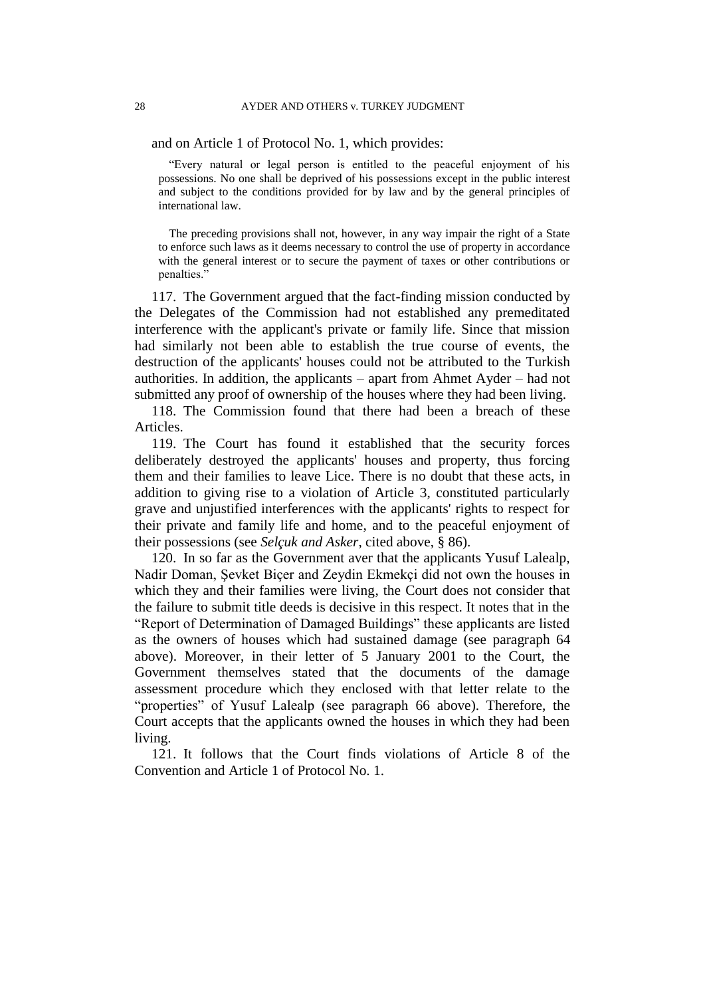and on Article 1 of Protocol No. 1, which provides:

"Every natural or legal person is entitled to the peaceful enjoyment of his possessions. No one shall be deprived of his possessions except in the public interest and subject to the conditions provided for by law and by the general principles of international law.

The preceding provisions shall not, however, in any way impair the right of a State to enforce such laws as it deems necessary to control the use of property in accordance with the general interest or to secure the payment of taxes or other contributions or penalties."

117. The Government argued that the fact-finding mission conducted by the Delegates of the Commission had not established any premeditated interference with the applicant's private or family life. Since that mission had similarly not been able to establish the true course of events, the destruction of the applicants' houses could not be attributed to the Turkish authorities. In addition, the applicants – apart from Ahmet Ayder – had not submitted any proof of ownership of the houses where they had been living.

118. The Commission found that there had been a breach of these Articles.

119. The Court has found it established that the security forces deliberately destroyed the applicants' houses and property, thus forcing them and their families to leave Lice. There is no doubt that these acts, in addition to giving rise to a violation of Article 3, constituted particularly grave and unjustified interferences with the applicants' rights to respect for their private and family life and home, and to the peaceful enjoyment of their possessions (see *Selçuk and Asker*, cited above, § 86).

120. In so far as the Government aver that the applicants Yusuf Lalealp, Nadir Doman, Şevket Biçer and Zeydin Ekmekçi did not own the houses in which they and their families were living, the Court does not consider that the failure to submit title deeds is decisive in this respect. It notes that in the "Report of Determination of Damaged Buildings" these applicants are listed as the owners of houses which had sustained damage (see paragraph 64 above). Moreover, in their letter of 5 January 2001 to the Court, the Government themselves stated that the documents of the damage assessment procedure which they enclosed with that letter relate to the "properties" of Yusuf Lalealp (see paragraph 66 above). Therefore, the Court accepts that the applicants owned the houses in which they had been living.

121. It follows that the Court finds violations of Article 8 of the Convention and Article 1 of Protocol No. 1.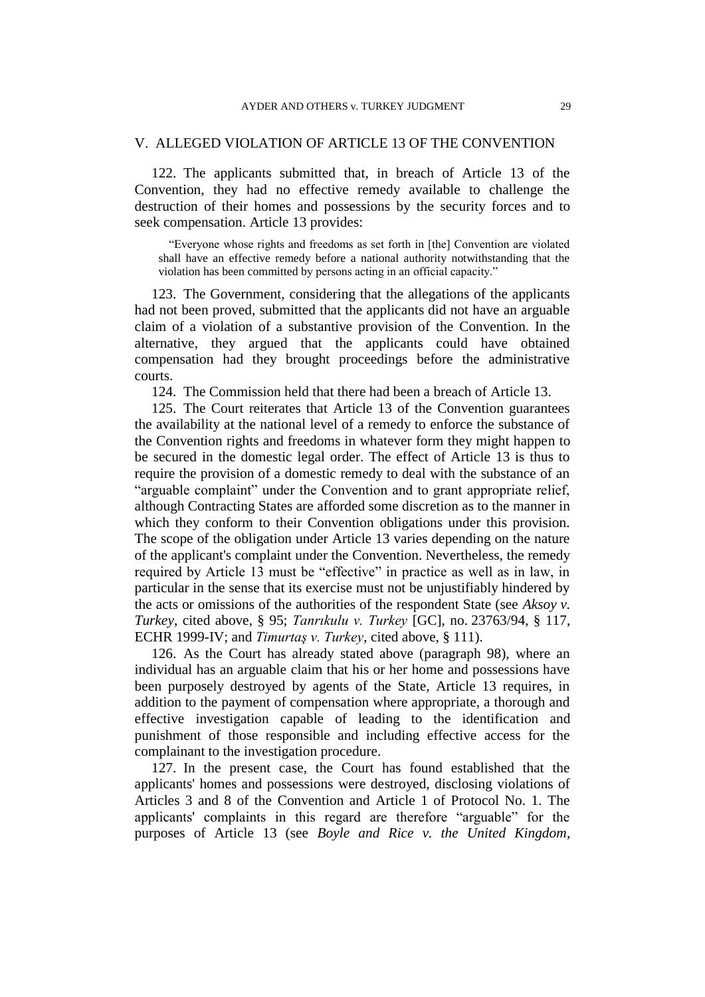#### V. ALLEGED VIOLATION OF ARTICLE 13 OF THE CONVENTION

122. The applicants submitted that, in breach of Article 13 of the Convention, they had no effective remedy available to challenge the destruction of their homes and possessions by the security forces and to seek compensation. Article 13 provides:

"Everyone whose rights and freedoms as set forth in [the] Convention are violated shall have an effective remedy before a national authority notwithstanding that the violation has been committed by persons acting in an official capacity."

123. The Government, considering that the allegations of the applicants had not been proved, submitted that the applicants did not have an arguable claim of a violation of a substantive provision of the Convention. In the alternative, they argued that the applicants could have obtained compensation had they brought proceedings before the administrative courts.

124. The Commission held that there had been a breach of Article 13.

125. The Court reiterates that Article 13 of the Convention guarantees the availability at the national level of a remedy to enforce the substance of the Convention rights and freedoms in whatever form they might happen to be secured in the domestic legal order. The effect of Article 13 is thus to require the provision of a domestic remedy to deal with the substance of an "arguable complaint" under the Convention and to grant appropriate relief, although Contracting States are afforded some discretion as to the manner in which they conform to their Convention obligations under this provision. The scope of the obligation under Article 13 varies depending on the nature of the applicant's complaint under the Convention. Nevertheless, the remedy required by Article 13 must be "effective" in practice as well as in law, in particular in the sense that its exercise must not be unjustifiably hindered by the acts or omissions of the authorities of the respondent State (see *Aksoy v. Turkey*, cited above, § 95; *Tanrıkulu v. Turkey* [GC], no. 23763/94, § 117, ECHR 1999-IV; and *Timurtaş v. Turkey*, cited above, § 111).

126. As the Court has already stated above (paragraph 98), where an individual has an arguable claim that his or her home and possessions have been purposely destroyed by agents of the State, Article 13 requires, in addition to the payment of compensation where appropriate, a thorough and effective investigation capable of leading to the identification and punishment of those responsible and including effective access for the complainant to the investigation procedure.

127. In the present case, the Court has found established that the applicants' homes and possessions were destroyed, disclosing violations of Articles 3 and 8 of the Convention and Article 1 of Protocol No. 1. The applicants' complaints in this regard are therefore "arguable" for the purposes of Article 13 (see *Boyle and Rice v. the United Kingdom*,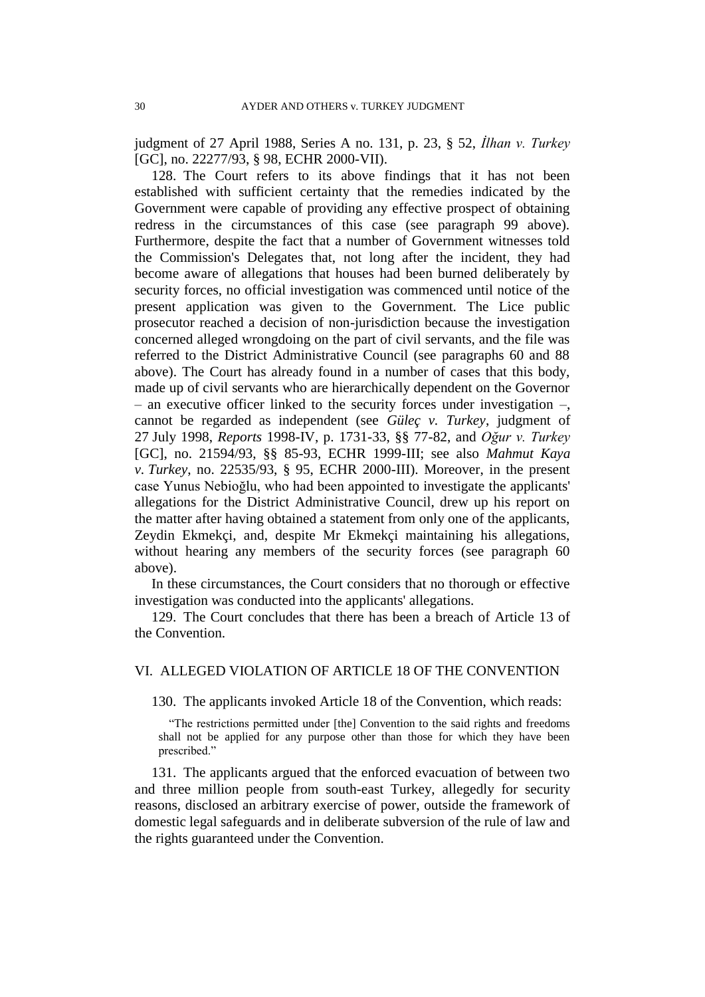judgment of 27 April 1988, Series A no. 131, p. 23, § 52, *İlhan v. Turkey* [GC], no. 22277/93, § 98, ECHR 2000-VII).

128. The Court refers to its above findings that it has not been established with sufficient certainty that the remedies indicated by the Government were capable of providing any effective prospect of obtaining redress in the circumstances of this case (see paragraph 99 above). Furthermore, despite the fact that a number of Government witnesses told the Commission's Delegates that, not long after the incident, they had become aware of allegations that houses had been burned deliberately by security forces, no official investigation was commenced until notice of the present application was given to the Government. The Lice public prosecutor reached a decision of non-jurisdiction because the investigation concerned alleged wrongdoing on the part of civil servants, and the file was referred to the District Administrative Council (see paragraphs 60 and 88 above). The Court has already found in a number of cases that this body, made up of civil servants who are hierarchically dependent on the Governor – an executive officer linked to the security forces under investigation –, cannot be regarded as independent (see *Güleç v. Turkey*, judgment of 27 July 1998, *Reports* 1998-IV, p. 1731-33, §§ 77-82, and *Oğur v. Turkey* [GC], no. 21594/93, §§ 85-93, ECHR 1999-III; see also *Mahmut Kaya v. Turkey*, no. 22535/93, § 95, ECHR 2000-III). Moreover, in the present case Yunus Nebioğlu, who had been appointed to investigate the applicants' allegations for the District Administrative Council, drew up his report on the matter after having obtained a statement from only one of the applicants, Zeydin Ekmekçi, and, despite Mr Ekmekçi maintaining his allegations, without hearing any members of the security forces (see paragraph 60) above).

In these circumstances, the Court considers that no thorough or effective investigation was conducted into the applicants' allegations.

129. The Court concludes that there has been a breach of Article 13 of the Convention.

# VI. ALLEGED VIOLATION OF ARTICLE 18 OF THE CONVENTION

130. The applicants invoked Article 18 of the Convention, which reads:

"The restrictions permitted under [the] Convention to the said rights and freedoms shall not be applied for any purpose other than those for which they have been prescribed."

131. The applicants argued that the enforced evacuation of between two and three million people from south-east Turkey, allegedly for security reasons, disclosed an arbitrary exercise of power, outside the framework of domestic legal safeguards and in deliberate subversion of the rule of law and the rights guaranteed under the Convention.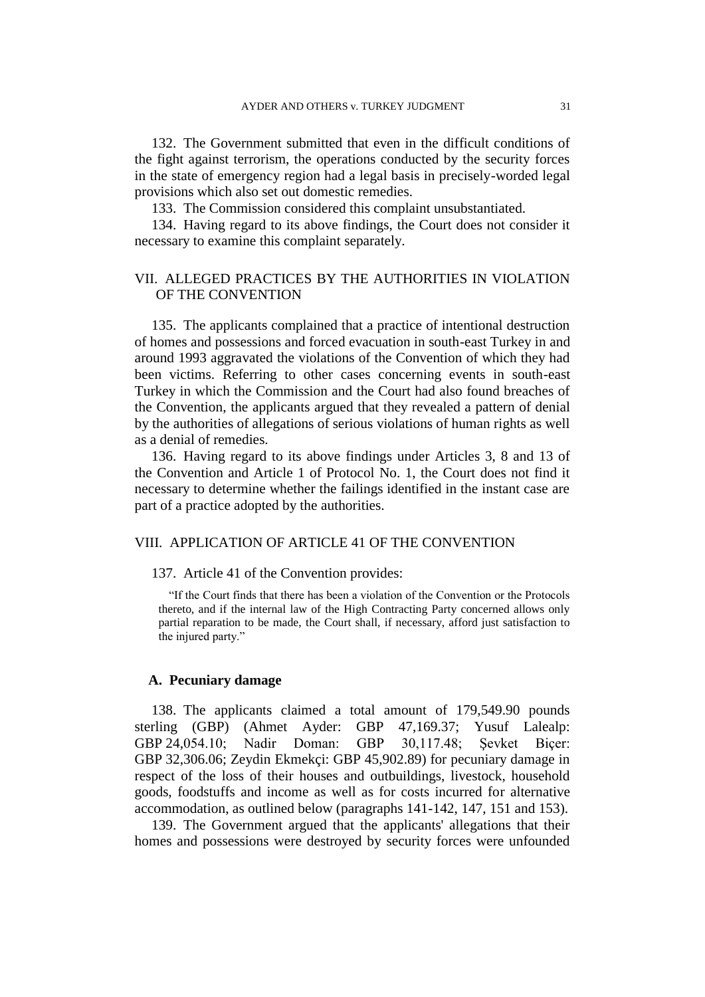132. The Government submitted that even in the difficult conditions of the fight against terrorism, the operations conducted by the security forces in the state of emergency region had a legal basis in precisely-worded legal provisions which also set out domestic remedies.

133. The Commission considered this complaint unsubstantiated.

134. Having regard to its above findings, the Court does not consider it necessary to examine this complaint separately.

# VII. ALLEGED PRACTICES BY THE AUTHORITIES IN VIOLATION OF THE CONVENTION

135. The applicants complained that a practice of intentional destruction of homes and possessions and forced evacuation in south-east Turkey in and around 1993 aggravated the violations of the Convention of which they had been victims. Referring to other cases concerning events in south-east Turkey in which the Commission and the Court had also found breaches of the Convention, the applicants argued that they revealed a pattern of denial by the authorities of allegations of serious violations of human rights as well as a denial of remedies.

136. Having regard to its above findings under Articles 3, 8 and 13 of the Convention and Article 1 of Protocol No. 1, the Court does not find it necessary to determine whether the failings identified in the instant case are part of a practice adopted by the authorities.

#### VIII. APPLICATION OF ARTICLE 41 OF THE CONVENTION

137. Article 41 of the Convention provides:

"If the Court finds that there has been a violation of the Convention or the Protocols thereto, and if the internal law of the High Contracting Party concerned allows only partial reparation to be made, the Court shall, if necessary, afford just satisfaction to the injured party."

# **A. Pecuniary damage**

138. The applicants claimed a total amount of 179,549.90 pounds sterling (GBP) (Ahmet Ayder: GBP 47,169.37; Yusuf Lalealp: GBP 24,054.10; Nadir Doman: GBP 30,117.48; Şevket Biçer: GBP 32,306.06; Zeydin Ekmekçi: GBP 45,902.89) for pecuniary damage in respect of the loss of their houses and outbuildings, livestock, household goods, foodstuffs and income as well as for costs incurred for alternative accommodation, as outlined below (paragraphs 141-142, 147, 151 and 153).

139. The Government argued that the applicants' allegations that their homes and possessions were destroyed by security forces were unfounded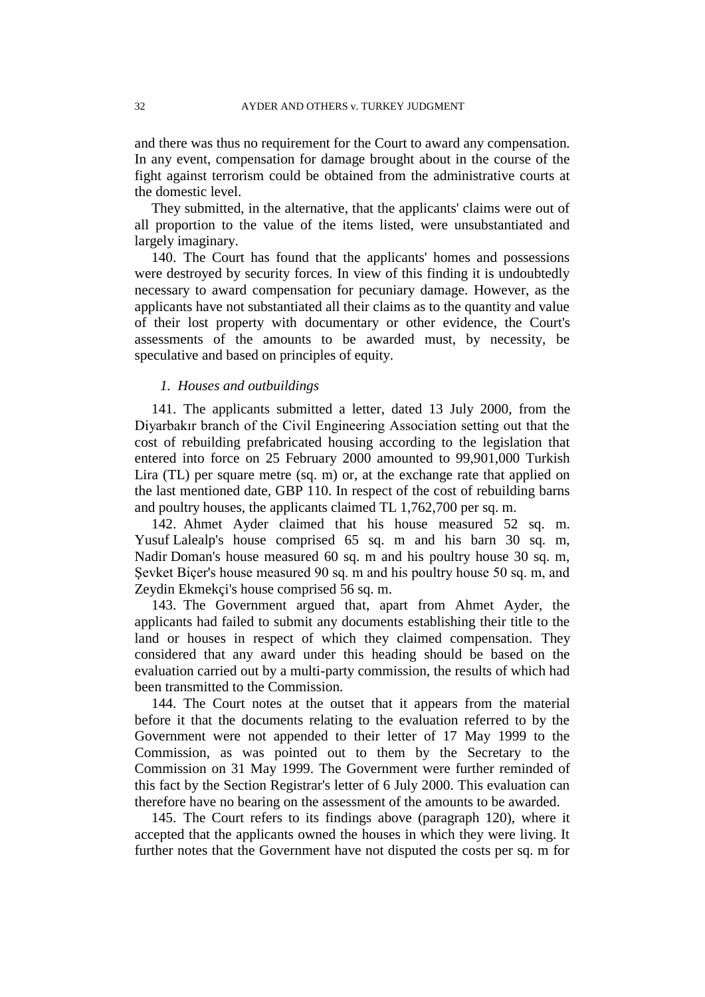and there was thus no requirement for the Court to award any compensation. In any event, compensation for damage brought about in the course of the fight against terrorism could be obtained from the administrative courts at the domestic level.

They submitted, in the alternative, that the applicants' claims were out of all proportion to the value of the items listed, were unsubstantiated and largely imaginary.

140. The Court has found that the applicants' homes and possessions were destroyed by security forces. In view of this finding it is undoubtedly necessary to award compensation for pecuniary damage. However, as the applicants have not substantiated all their claims as to the quantity and value of their lost property with documentary or other evidence, the Court's assessments of the amounts to be awarded must, by necessity, be speculative and based on principles of equity.

# *1. Houses and outbuildings*

141. The applicants submitted a letter, dated 13 July 2000, from the Diyarbakır branch of the Civil Engineering Association setting out that the cost of rebuilding prefabricated housing according to the legislation that entered into force on 25 February 2000 amounted to 99,901,000 Turkish Lira (TL) per square metre (sq. m) or, at the exchange rate that applied on the last mentioned date, GBP 110. In respect of the cost of rebuilding barns and poultry houses, the applicants claimed TL 1,762,700 per sq. m.

142. Ahmet Ayder claimed that his house measured 52 sq. m. Yusuf Lalealp's house comprised 65 sq. m and his barn 30 sq. m, Nadir Doman's house measured 60 sq. m and his poultry house 30 sq. m, Sevket Biçer's house measured 90 sq. m and his poultry house 50 sq. m, and Zeydin Ekmekçi's house comprised 56 sq. m.

143. The Government argued that, apart from Ahmet Ayder, the applicants had failed to submit any documents establishing their title to the land or houses in respect of which they claimed compensation. They considered that any award under this heading should be based on the evaluation carried out by a multi-party commission, the results of which had been transmitted to the Commission.

144. The Court notes at the outset that it appears from the material before it that the documents relating to the evaluation referred to by the Government were not appended to their letter of 17 May 1999 to the Commission, as was pointed out to them by the Secretary to the Commission on 31 May 1999. The Government were further reminded of this fact by the Section Registrar's letter of 6 July 2000. This evaluation can therefore have no bearing on the assessment of the amounts to be awarded.

145. The Court refers to its findings above (paragraph 120), where it accepted that the applicants owned the houses in which they were living. It further notes that the Government have not disputed the costs per sq. m for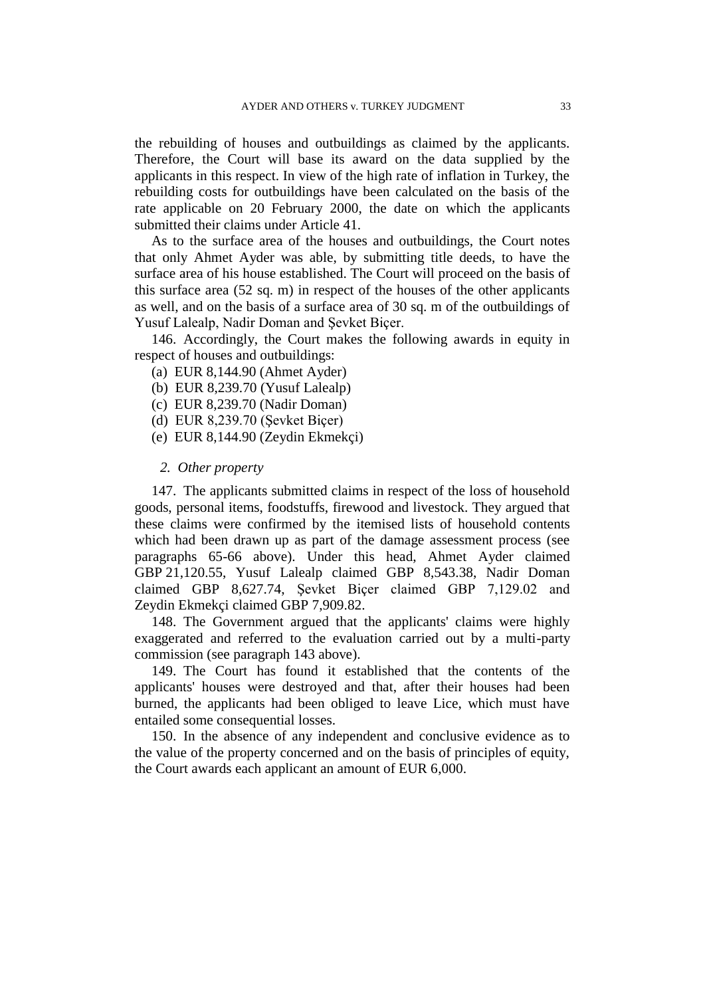the rebuilding of houses and outbuildings as claimed by the applicants. Therefore, the Court will base its award on the data supplied by the applicants in this respect. In view of the high rate of inflation in Turkey, the rebuilding costs for outbuildings have been calculated on the basis of the rate applicable on 20 February 2000, the date on which the applicants submitted their claims under Article 41.

As to the surface area of the houses and outbuildings, the Court notes that only Ahmet Ayder was able, by submitting title deeds, to have the surface area of his house established. The Court will proceed on the basis of this surface area (52 sq. m) in respect of the houses of the other applicants as well, and on the basis of a surface area of 30 sq. m of the outbuildings of Yusuf Lalealp, Nadir Doman and Şevket Biçer.

146. Accordingly, the Court makes the following awards in equity in respect of houses and outbuildings:

- (a) EUR 8,144.90 (Ahmet Ayder)
- (b) EUR 8,239.70 (Yusuf Lalealp)
- (c) EUR 8,239.70 (Nadir Doman)
- (d) EUR 8,239.70 (Şevket Biçer)
- (e) EUR 8,144.90 (Zeydin Ekmekçi)

#### *2. Other property*

147. The applicants submitted claims in respect of the loss of household goods, personal items, foodstuffs, firewood and livestock. They argued that these claims were confirmed by the itemised lists of household contents which had been drawn up as part of the damage assessment process (see paragraphs 65-66 above). Under this head, Ahmet Ayder claimed GBP 21,120.55, Yusuf Lalealp claimed GBP 8,543.38, Nadir Doman claimed GBP 8,627.74, Şevket Biçer claimed GBP 7,129.02 and Zeydin Ekmekçi claimed GBP 7,909.82.

148. The Government argued that the applicants' claims were highly exaggerated and referred to the evaluation carried out by a multi-party commission (see paragraph 143 above).

149. The Court has found it established that the contents of the applicants' houses were destroyed and that, after their houses had been burned, the applicants had been obliged to leave Lice, which must have entailed some consequential losses.

150. In the absence of any independent and conclusive evidence as to the value of the property concerned and on the basis of principles of equity, the Court awards each applicant an amount of EUR 6,000.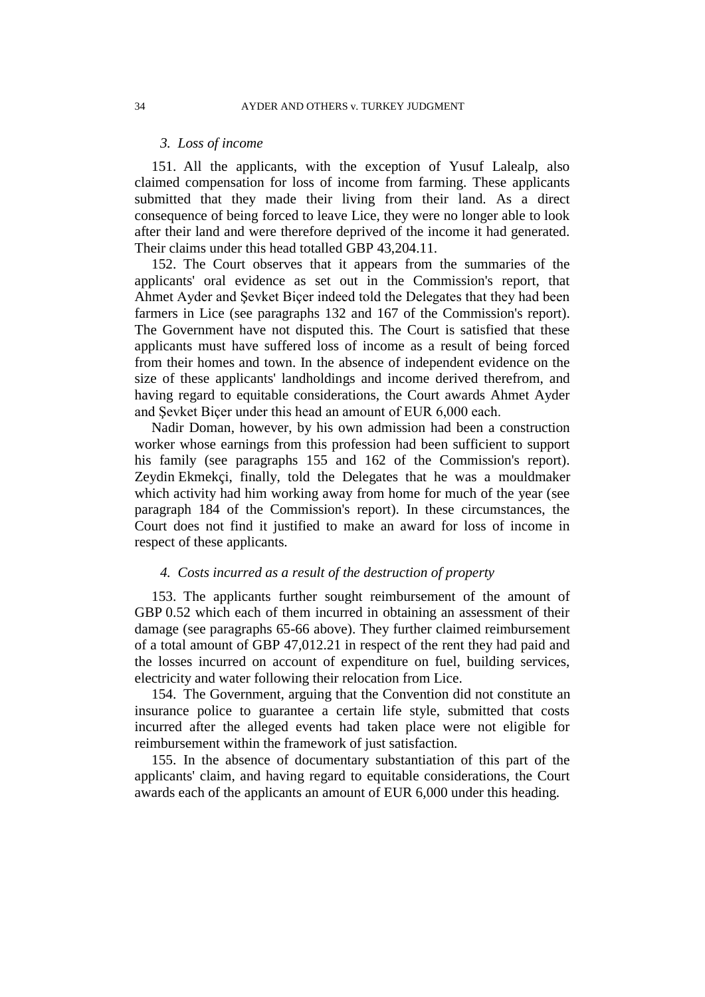#### *3. Loss of income*

151. All the applicants, with the exception of Yusuf Lalealp, also claimed compensation for loss of income from farming. These applicants submitted that they made their living from their land. As a direct consequence of being forced to leave Lice, they were no longer able to look after their land and were therefore deprived of the income it had generated. Their claims under this head totalled GBP 43,204.11.

152. The Court observes that it appears from the summaries of the applicants' oral evidence as set out in the Commission's report, that Ahmet Ayder and Şevket Biçer indeed told the Delegates that they had been farmers in Lice (see paragraphs 132 and 167 of the Commission's report). The Government have not disputed this. The Court is satisfied that these applicants must have suffered loss of income as a result of being forced from their homes and town. In the absence of independent evidence on the size of these applicants' landholdings and income derived therefrom, and having regard to equitable considerations, the Court awards Ahmet Ayder and Şevket Biçer under this head an amount of EUR 6,000 each.

Nadir Doman, however, by his own admission had been a construction worker whose earnings from this profession had been sufficient to support his family (see paragraphs 155 and 162 of the Commission's report). Zeydin Ekmekçi, finally, told the Delegates that he was a mouldmaker which activity had him working away from home for much of the year (see paragraph 184 of the Commission's report). In these circumstances, the Court does not find it justified to make an award for loss of income in respect of these applicants.

## *4. Costs incurred as a result of the destruction of property*

153. The applicants further sought reimbursement of the amount of GBP 0.52 which each of them incurred in obtaining an assessment of their damage (see paragraphs 65-66 above). They further claimed reimbursement of a total amount of GBP 47,012.21 in respect of the rent they had paid and the losses incurred on account of expenditure on fuel, building services, electricity and water following their relocation from Lice.

154. The Government, arguing that the Convention did not constitute an insurance police to guarantee a certain life style, submitted that costs incurred after the alleged events had taken place were not eligible for reimbursement within the framework of just satisfaction.

155. In the absence of documentary substantiation of this part of the applicants' claim, and having regard to equitable considerations, the Court awards each of the applicants an amount of EUR 6,000 under this heading.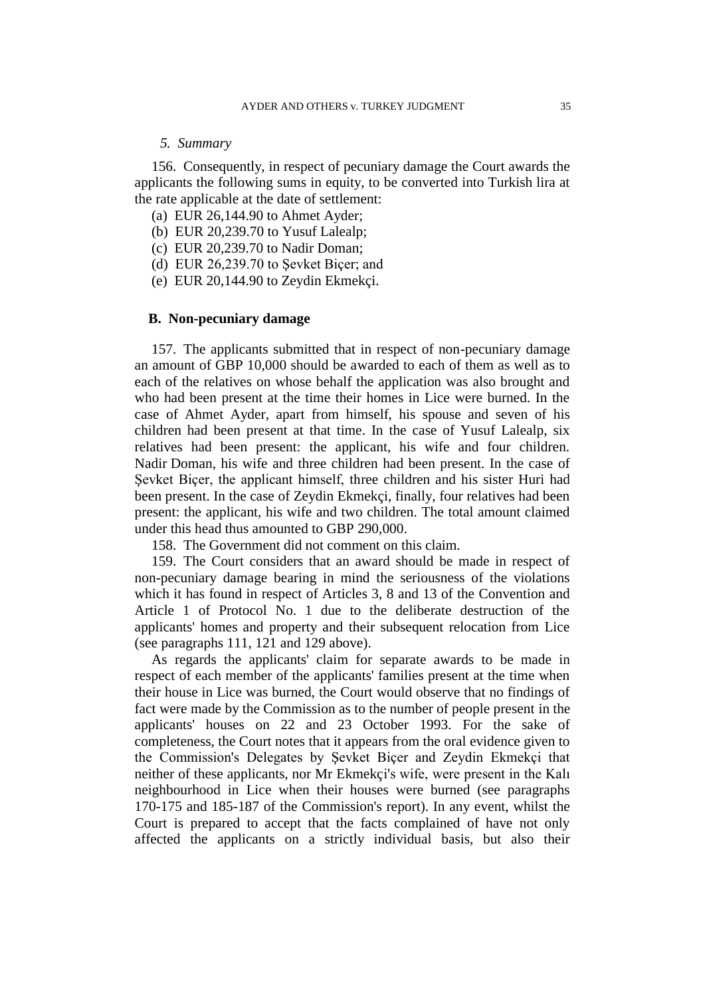#### *5. Summary*

156. Consequently, in respect of pecuniary damage the Court awards the applicants the following sums in equity, to be converted into Turkish lira at the rate applicable at the date of settlement:

- (a) EUR 26,144.90 to Ahmet Ayder;
- (b) EUR 20,239.70 to Yusuf Lalealp;
- (c) EUR 20,239.70 to Nadir Doman;
- (d) EUR 26,239.70 to Şevket Biçer; and
- (e) EUR 20,144.90 to Zeydin Ekmekçi.

## **B. Non-pecuniary damage**

157. The applicants submitted that in respect of non-pecuniary damage an amount of GBP 10,000 should be awarded to each of them as well as to each of the relatives on whose behalf the application was also brought and who had been present at the time their homes in Lice were burned. In the case of Ahmet Ayder, apart from himself, his spouse and seven of his children had been present at that time. In the case of Yusuf Lalealp, six relatives had been present: the applicant, his wife and four children. Nadir Doman, his wife and three children had been present. In the case of Şevket Biçer, the applicant himself, three children and his sister Huri had been present. In the case of Zeydin Ekmekçi, finally, four relatives had been present: the applicant, his wife and two children. The total amount claimed under this head thus amounted to GBP 290,000.

158. The Government did not comment on this claim.

159. The Court considers that an award should be made in respect of non-pecuniary damage bearing in mind the seriousness of the violations which it has found in respect of Articles 3, 8 and 13 of the Convention and Article 1 of Protocol No. 1 due to the deliberate destruction of the applicants' homes and property and their subsequent relocation from Lice (see paragraphs 111, 121 and 129 above).

As regards the applicants' claim for separate awards to be made in respect of each member of the applicants' families present at the time when their house in Lice was burned, the Court would observe that no findings of fact were made by the Commission as to the number of people present in the applicants' houses on 22 and 23 October 1993. For the sake of completeness, the Court notes that it appears from the oral evidence given to the Commission's Delegates by Şevket Biçer and Zeydin Ekmekçi that neither of these applicants, nor Mr Ekmekçi's wife, were present in the Kalı neighbourhood in Lice when their houses were burned (see paragraphs 170-175 and 185-187 of the Commission's report). In any event, whilst the Court is prepared to accept that the facts complained of have not only affected the applicants on a strictly individual basis, but also their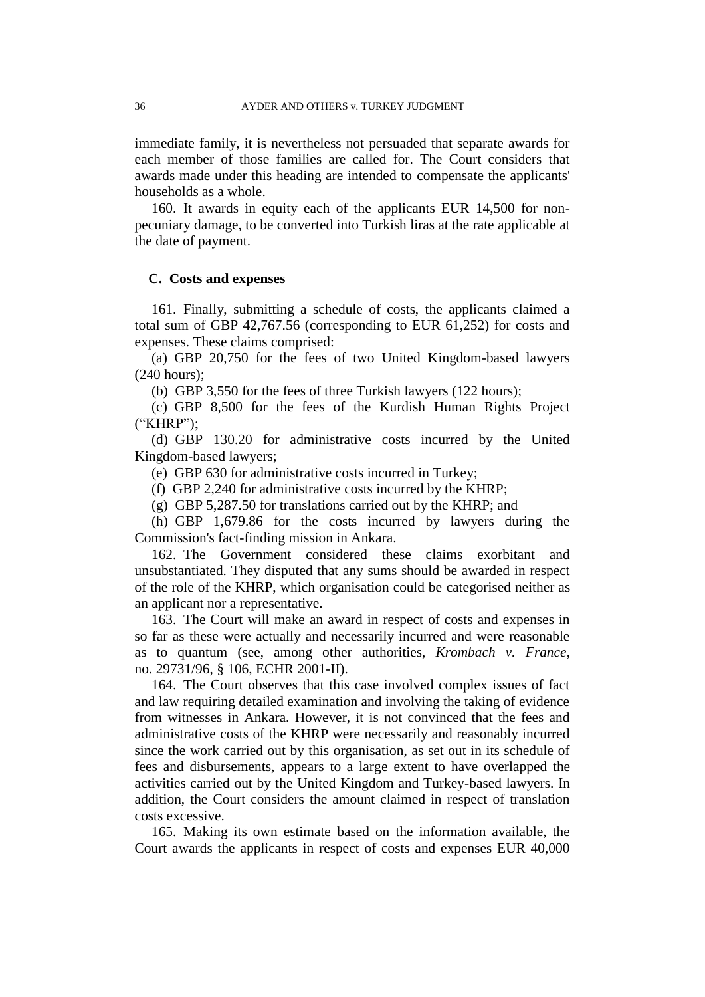immediate family, it is nevertheless not persuaded that separate awards for each member of those families are called for. The Court considers that awards made under this heading are intended to compensate the applicants' households as a whole.

160. It awards in equity each of the applicants EUR 14,500 for nonpecuniary damage, to be converted into Turkish liras at the rate applicable at the date of payment.

## **C. Costs and expenses**

161. Finally, submitting a schedule of costs, the applicants claimed a total sum of GBP 42,767.56 (corresponding to EUR 61,252) for costs and expenses. These claims comprised:

(a) GBP 20,750 for the fees of two United Kingdom-based lawyers (240 hours);

(b) GBP 3,550 for the fees of three Turkish lawyers (122 hours);

(c) GBP 8,500 for the fees of the Kurdish Human Rights Project ("KHRP");

(d) GBP 130.20 for administrative costs incurred by the United Kingdom-based lawyers;

(e) GBP 630 for administrative costs incurred in Turkey;

(f) GBP 2,240 for administrative costs incurred by the KHRP;

(g) GBP 5,287.50 for translations carried out by the KHRP; and

(h) GBP 1,679.86 for the costs incurred by lawyers during the Commission's fact-finding mission in Ankara.

162. The Government considered these claims exorbitant and unsubstantiated. They disputed that any sums should be awarded in respect of the role of the KHRP, which organisation could be categorised neither as an applicant nor a representative.

163. The Court will make an award in respect of costs and expenses in so far as these were actually and necessarily incurred and were reasonable as to quantum (see, among other authorities, *Krombach v. France*, no. 29731/96, § 106, ECHR 2001-II).

164. The Court observes that this case involved complex issues of fact and law requiring detailed examination and involving the taking of evidence from witnesses in Ankara. However, it is not convinced that the fees and administrative costs of the KHRP were necessarily and reasonably incurred since the work carried out by this organisation, as set out in its schedule of fees and disbursements, appears to a large extent to have overlapped the activities carried out by the United Kingdom and Turkey-based lawyers. In addition, the Court considers the amount claimed in respect of translation costs excessive.

165. Making its own estimate based on the information available, the Court awards the applicants in respect of costs and expenses EUR 40,000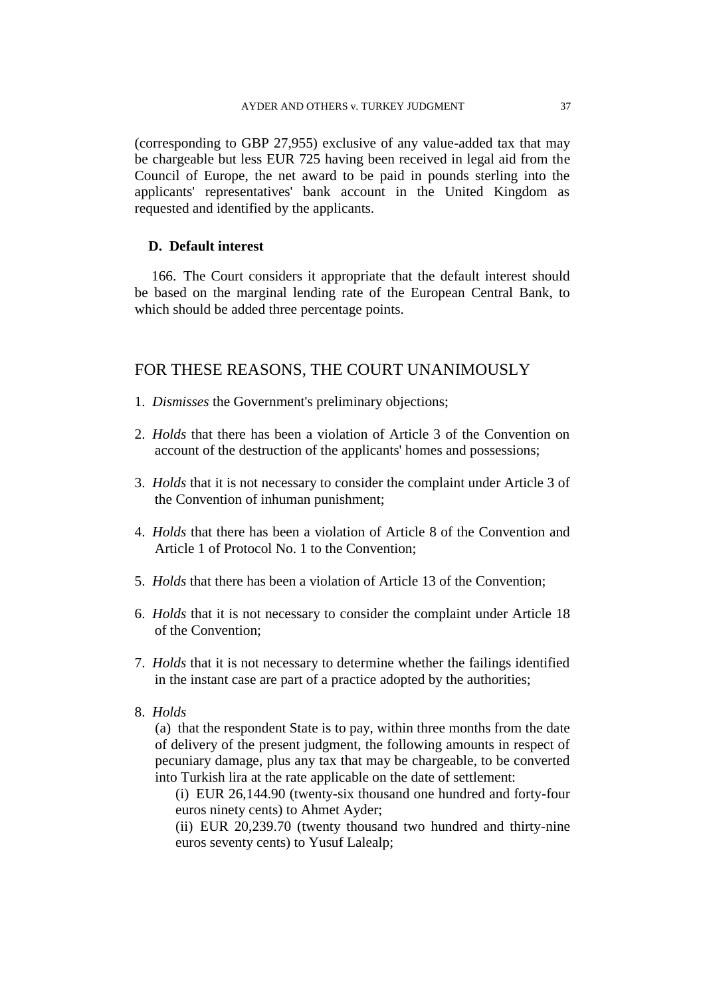(corresponding to GBP 27,955) exclusive of any value-added tax that may be chargeable but less EUR 725 having been received in legal aid from the Council of Europe, the net award to be paid in pounds sterling into the applicants' representatives' bank account in the United Kingdom as requested and identified by the applicants.

# **D. Default interest**

166. The Court considers it appropriate that the default interest should be based on the marginal lending rate of the European Central Bank, to which should be added three percentage points.

# FOR THESE REASONS, THE COURT UNANIMOUSLY

- 1. *Dismisses* the Government's preliminary objections;
- 2. *Holds* that there has been a violation of Article 3 of the Convention on account of the destruction of the applicants' homes and possessions;
- 3. *Holds* that it is not necessary to consider the complaint under Article 3 of the Convention of inhuman punishment;
- 4. *Holds* that there has been a violation of Article 8 of the Convention and Article 1 of Protocol No. 1 to the Convention;
- 5. *Holds* that there has been a violation of Article 13 of the Convention;
- 6. *Holds* that it is not necessary to consider the complaint under Article 18 of the Convention;
- 7. *Holds* that it is not necessary to determine whether the failings identified in the instant case are part of a practice adopted by the authorities;
- 8. *Holds*

(a) that the respondent State is to pay, within three months from the date of delivery of the present judgment, the following amounts in respect of pecuniary damage, plus any tax that may be chargeable, to be converted into Turkish lira at the rate applicable on the date of settlement:

(i) EUR 26,144.90 (twenty-six thousand one hundred and forty-four euros ninety cents) to Ahmet Ayder;

(ii) EUR 20,239.70 (twenty thousand two hundred and thirty-nine euros seventy cents) to Yusuf Lalealp;